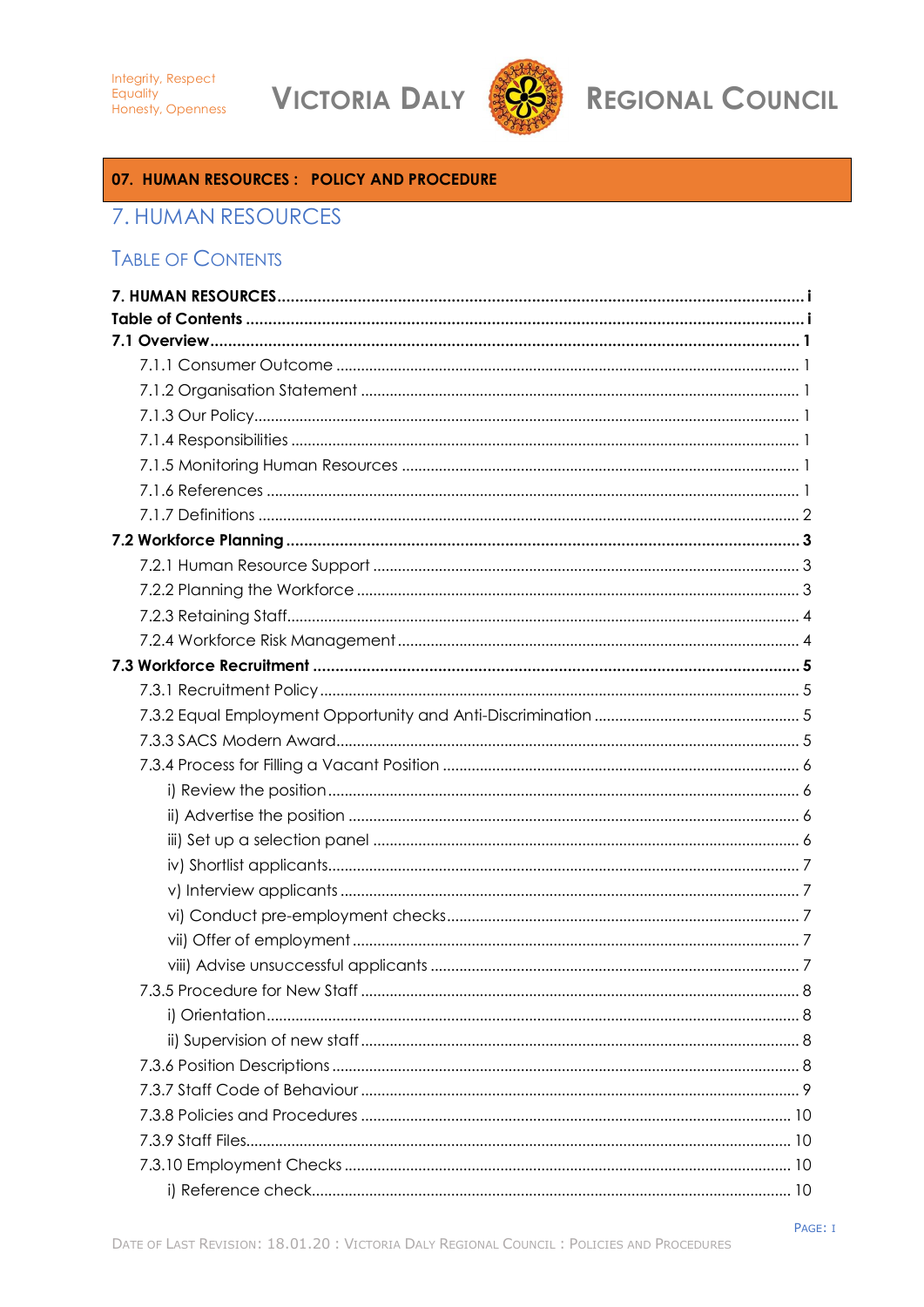



# **REGIONAL COUNCIL**

# <span id="page-0-0"></span>07. HUMAN RESOURCES: POLICY AND PROCEDURE

# 7. HUMAN RESOURCES

# <span id="page-0-1"></span>**TABLE OF CONTENTS**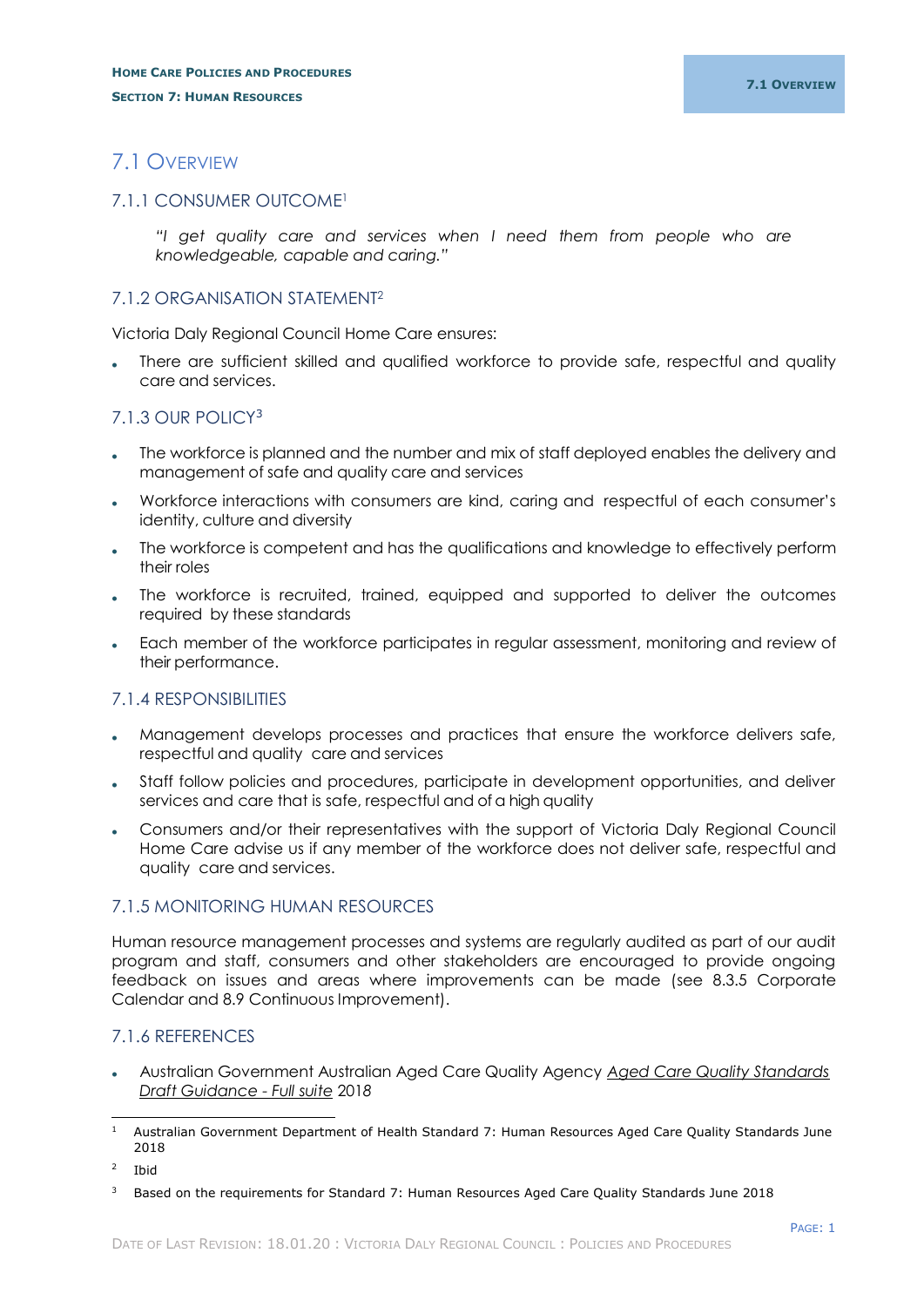# <span id="page-2-0"></span>7.1 OVERVIEW

# <span id="page-2-1"></span>7.1.1 CONSUMER OUTCOME<sup>1</sup>

*"I get quality care and services when I need them from people who are knowledgeable, capable and caring."*

# <span id="page-2-2"></span>7.1.2 ORGANISATION STATEMENT<sup>2</sup>

Victoria Daly Regional Council Home Care ensures:

 There are sufficient skilled and qualified workforce to provide safe, respectful and quality care and services.

# <span id="page-2-3"></span>7.1.3 OUR POLICY<sup>3</sup>

- The workforce is planned and the number and mix of staff deployed enables the delivery and management of safe and quality care and services
- Workforce interactions with consumers are kind, caring and respectful of each consumer's identity, culture and diversity
- The workforce is competent and has the qualifications and knowledge to effectively perform their roles
- The workforce is recruited, trained, equipped and supported to deliver the outcomes required by these standards
- Each member of the workforce participates in regular assessment, monitoring and review of their performance.

# <span id="page-2-4"></span>7.1.4 RESPONSIBILITIES

- Management develops processes and practices that ensure the workforce delivers safe, respectful and quality care and services
- Staff follow policies and procedures, participate in development opportunities, and deliver services and care that is safe, respectful and of a high quality
- Consumers and/or their representatives with the support of Victoria Daly Regional Council Home Care advise us if any member of the workforce does not deliver safe, respectful and quality care and services.

# <span id="page-2-5"></span>7.1.5 MONITORING HUMAN RESOURCES

Human resource management processes and systems are regularly audited as part of our audit program and staff, consumers and other stakeholders are encouraged to provide ongoing feedback on issues and areas where improvements can be made (see 8.3.5 Corporate Calendar and 8.9 Continuous Improvement).

# <span id="page-2-6"></span>7.1.6 REFERENCES

 Australian Government Australian Aged Care Quality Agency *Aged Care Quality Standards Draft Guidance - Full suite* 201*8*

2 Ibid

 $\mathbf{1}$ <sup>1</sup> Australian Government Department of Health Standard 7: Human Resources Aged Care Quality Standards June 2018

<sup>3</sup> Based on the requirements for Standard 7: Human Resources Aged Care Quality Standards June 2018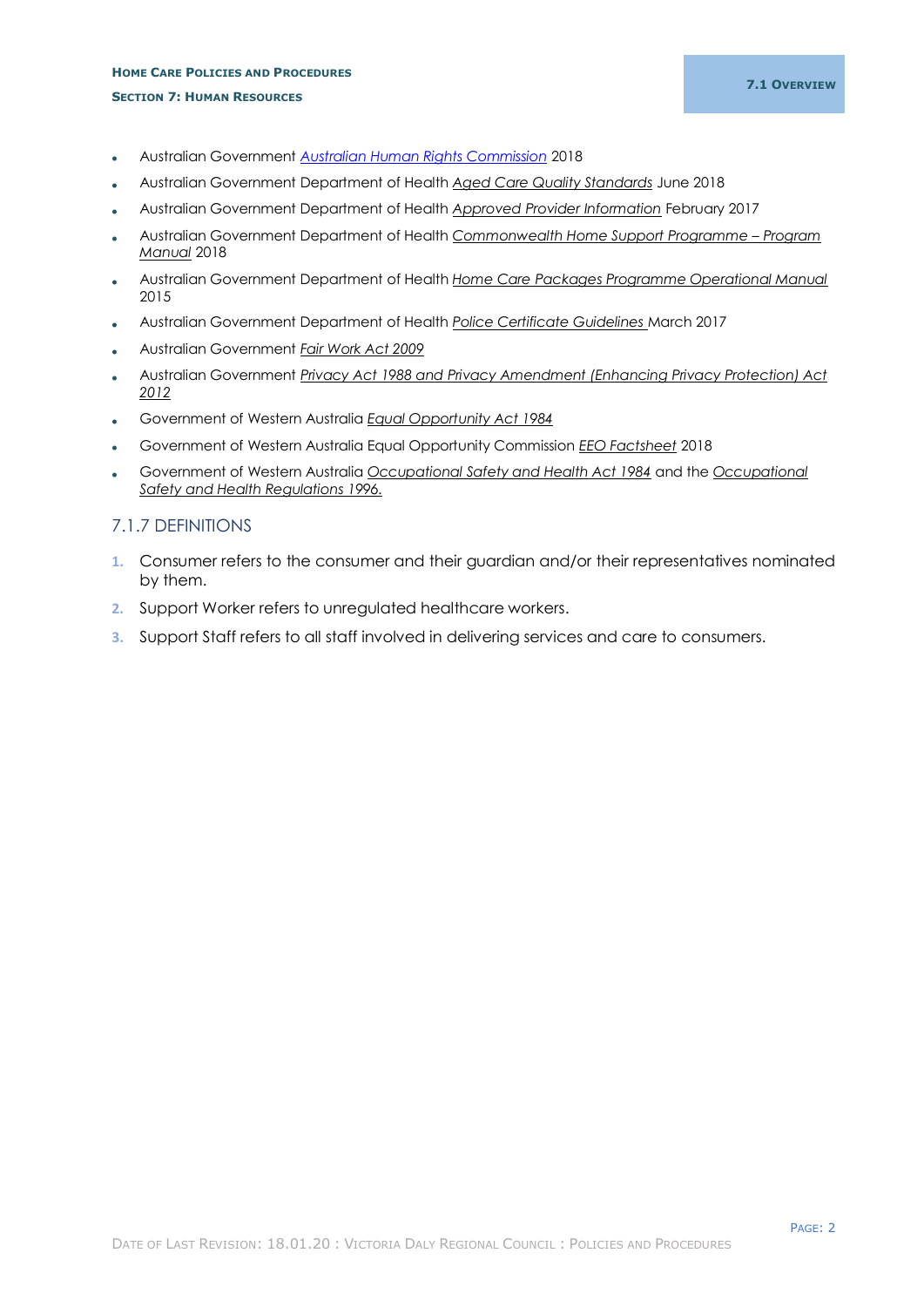#### **HOME CARE POLICIES AND PROCEDURES SECTION 7: HUMAN RESOURCES**

- Australian Government *[Australian Human Rights Commission](https://www.humanrights.gov.au/employers/good-practice-good-business-factsheets/workplace-discrimination-harassment-and-bullying)* 2018
- Australian Government Department of Health *Aged Care Quality Standards* June 2018
- Australian Government Department of Health *[Approved Provider Information](https://agedcare.health.gov.au/aged-care-funding/approved-provider-information)* February 2017
- Australian Government Department of Health *Commonwealth Home Support Programme – Program Manual* 2018
- Australian Government Department of Health *Home Care Packages Programme Operational Manual*  2015
- Australian Government Department of Health *Police Certificate Guidelines* March 2017
- Australian Government *Fair Work Act 2009*
- Australian Government *Privacy Act 1988 and Privacy Amendment (Enhancing Privacy Protection) Act 2012*
- Government of Western Australia *Equal Opportunity Act 1984*
- Government of Western Australia Equal Opportunity Commission *EEO Factsheet* 2018
- Government of Western Australia *Occupational Safety and Health Act 1984* and the *Occupational Safety and Health Regulations 1996.*

## <span id="page-3-0"></span>7.1.7 DEFINITIONS

- **1.** Consumer refers to the consumer and their guardian and/or their representatives nominated by them.
- **2.** Support Worker refers to unregulated healthcare workers.
- **3.** Support Staff refers to all staff involved in delivering services and care to consumers.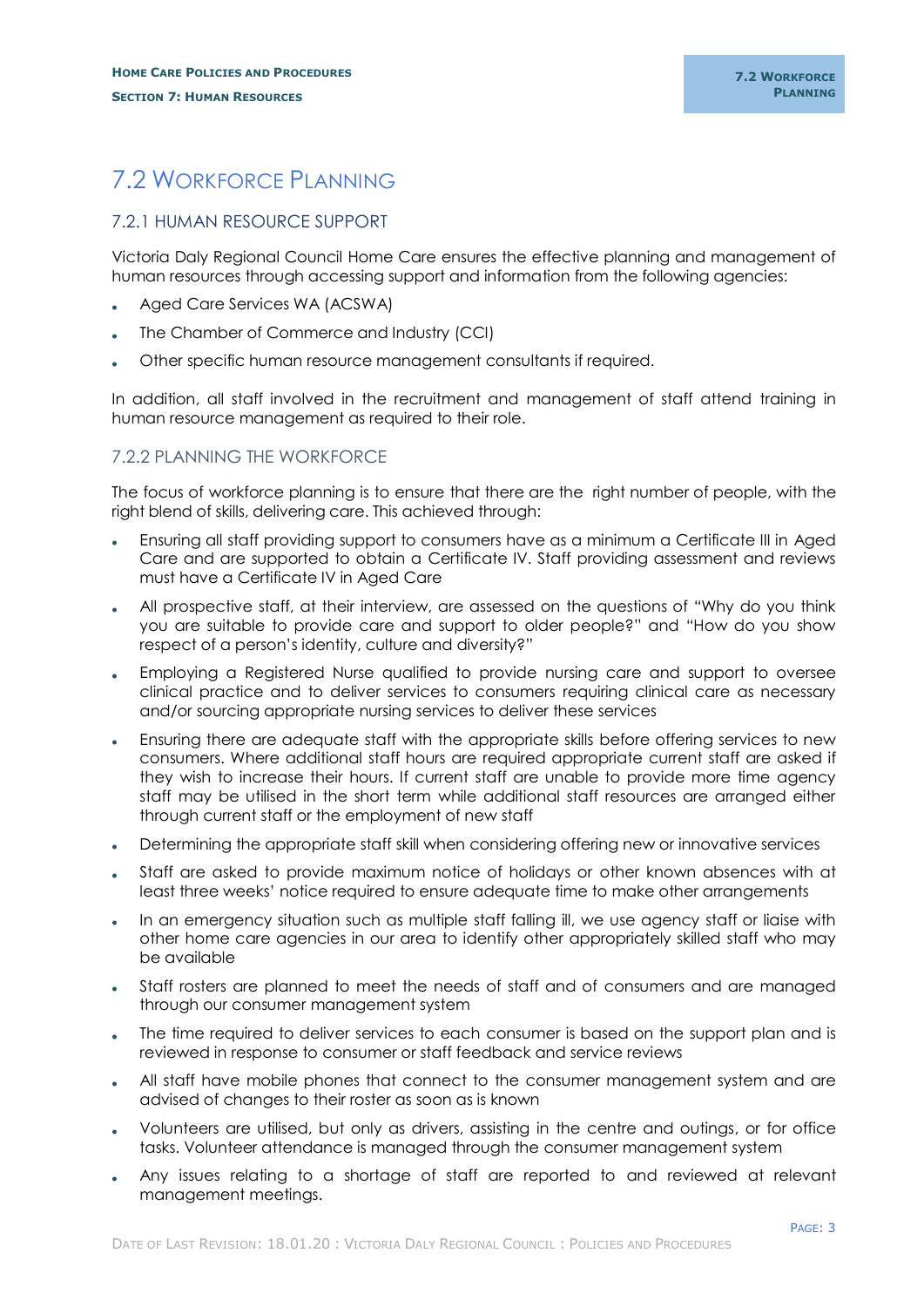# <span id="page-4-0"></span>7.2 WORKFORCE PLANNING

# <span id="page-4-1"></span>7.2.1 HUMAN RESOURCE SUPPORT

Victoria Daly Regional Council Home Care ensures the effective planning and management of human resources through accessing support and information from the following agencies:

- Aged Care Services WA (ACSWA)
- The Chamber of Commerce and Industry (CCI)
- Other specific human resource management consultants if required.

In addition, all staff involved in the recruitment and management of staff attend training in human resource management as required to their role.

# <span id="page-4-2"></span>7.2.2 PLANNING THE WORKFORCE

The focus of workforce planning is to ensure that there are the right number of people, with the right blend of skills, delivering care. This achieved through:

- Ensuring all staff providing support to consumers have as a minimum a Certificate III in Aged Care and are supported to obtain a Certificate IV. Staff providing assessment and reviews must have a Certificate IV in Aged Care
- All prospective staff, at their interview, are assessed on the questions of "Why do you think you are suitable to provide care and support to older people?" and "How do you show respect of a person's identity, culture and diversity?"
- Employing a Registered Nurse qualified to provide nursing care and support to oversee clinical practice and to deliver services to consumers requiring clinical care as necessary and/or sourcing appropriate nursing services to deliver these services
- Ensuring there are adequate staff with the appropriate skills before offering services to new consumers. Where additional staff hours are required appropriate current staff are asked if they wish to increase their hours. If current staff are unable to provide more time agency staff may be utilised in the short term while additional staff resources are arranged either through current staff or the employment of new staff
- Determining the appropriate staff skill when considering offering new or innovative services
- Staff are asked to provide maximum notice of holidays or other known absences with at least three weeks' notice required to ensure adequate time to make other arrangements
- In an emergency situation such as multiple staff falling ill, we use agency staff or liaise with other home care agencies in our area to identify other appropriately skilled staff who may be available
- Staff rosters are planned to meet the needs of staff and of consumers and are managed through our consumer management system
- The time required to deliver services to each consumer is based on the support plan and is reviewed in response to consumer or staff feedback and service reviews
- All staff have mobile phones that connect to the consumer management system and are advised of changes to their roster as soon as is known
- Volunteers are utilised, but only as drivers, assisting in the centre and outings, or for office tasks. Volunteer attendance is managed through the consumer management system
- Any issues relating to a shortage of staff are reported to and reviewed at relevant management meetings.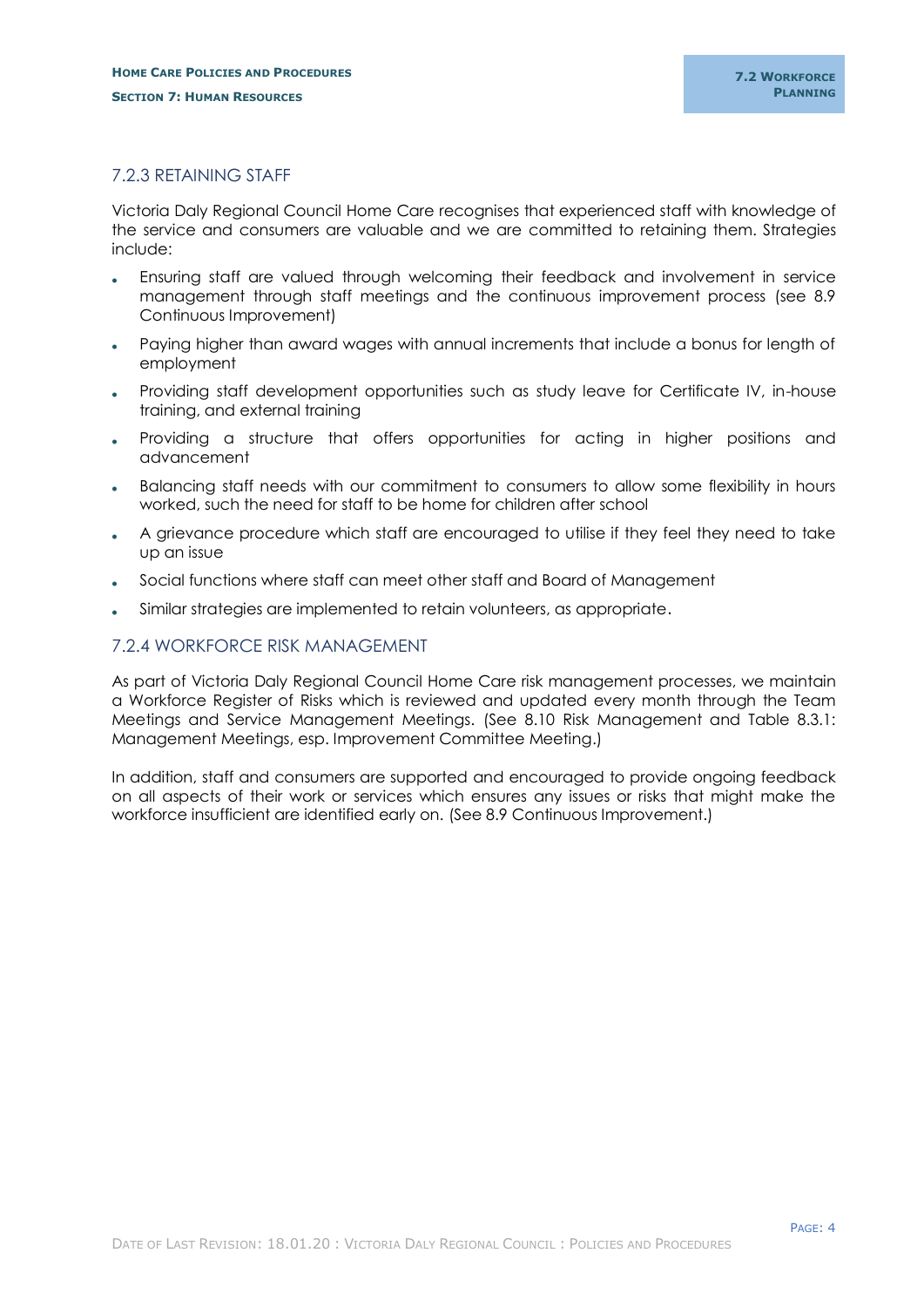# <span id="page-5-0"></span>7.2.3 RETAINING STAFF

Victoria Daly Regional Council Home Care recognises that experienced staff with knowledge of the service and consumers are valuable and we are committed to retaining them. Strategies include:

- Ensuring staff are valued through welcoming their feedback and involvement in service management through staff meetings and the continuous improvement process (see 8.9 Continuous Improvement)
- Paying higher than award wages with annual increments that include a bonus for length of employment
- Providing staff development opportunities such as study leave for Certificate IV, in-house training, and external training
- Providing a structure that offers opportunities for acting in higher positions and advancement
- Balancing staff needs with our commitment to consumers to allow some flexibility in hours worked, such the need for staff to be home for children after school
- A grievance procedure which staff are encouraged to utilise if they feel they need to take up an issue
- Social functions where staff can meet other staff and Board of Management
- Similar strategies are implemented to retain volunteers, as appropriate.

# <span id="page-5-1"></span>7.2.4 WORKFORCE RISK MANAGEMENT

As part of Victoria Daly Regional Council Home Care risk management processes, we maintain a Workforce Register of Risks which is reviewed and updated every month through the Team Meetings and Service Management Meetings. (See 8.10 Risk Management and Table 8.3.1: Management Meetings, esp. Improvement Committee Meeting.)

In addition, staff and consumers are supported and encouraged to provide ongoing feedback on all aspects of their work or services which ensures any issues or risks that might make the workforce insufficient are identified early on. (See 8.9 Continuous Improvement.)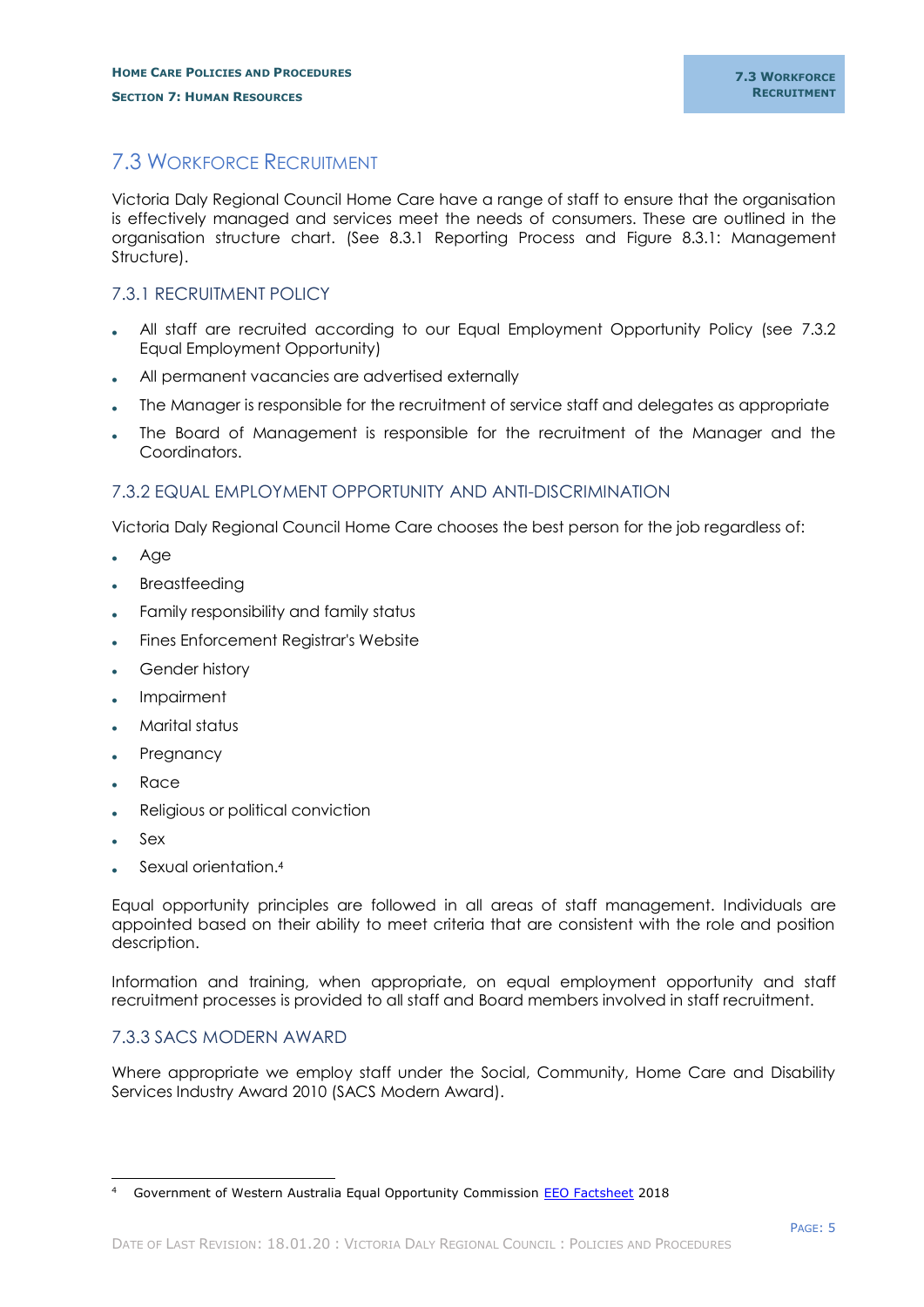# <span id="page-6-0"></span>7.3 WORKFORCE RECRUITMENT

Victoria Daly Regional Council Home Care have a range of staff to ensure that the organisation is effectively managed and services meet the needs of consumers. These are outlined in the organisation structure chart. (See 8.3.1 Reporting Process and Figure 8.3.1: Management Structure).

# <span id="page-6-1"></span>7.3.1 RECRUITMENT POLICY

- All staff are recruited according to our Equal Employment Opportunity Policy (see 7.3.2 Equal Employment Opportunity)
- All permanent vacancies are advertised externally
- The Manager is responsible for the recruitment of service staff and delegates as appropriate
- The Board of Management is responsible for the recruitment of the Manager and the Coordinators.

# <span id="page-6-2"></span>7.3.2 EQUAL EMPLOYMENT OPPORTUNITY AND ANTI-DISCRIMINATION

Victoria Daly Regional Council Home Care chooses the best person for the job regardless of:

- Age
- Breastfeeding
- Family responsibility and family status
- Fines Enforcement Registrar's Website
- Gender history
- Impairment
- Marital status
- Pregnancy
- Race
- Religious or political conviction
- Sex

-

Sexual orientation.<sup>4</sup>

Equal opportunity principles are followed in all areas of staff management. Individuals are appointed based on their ability to meet criteria that are consistent with the role and position description.

Information and training, when appropriate, on equal employment opportunity and staff recruitment processes is provided to all staff and Board members involved in staff recruitment.

# <span id="page-6-3"></span>7.3.3 SACS MODERN AWARD

Where appropriate we employ staff under the Social, Community, Home Care and Disability Services Industry Award 2010 (SACS Modern Award).

Government of Western Australia Equal Opportunity Commission [EEO Factsheet](http://www.eoc.wa.gov.au/your-rights/fact-sheets) 2018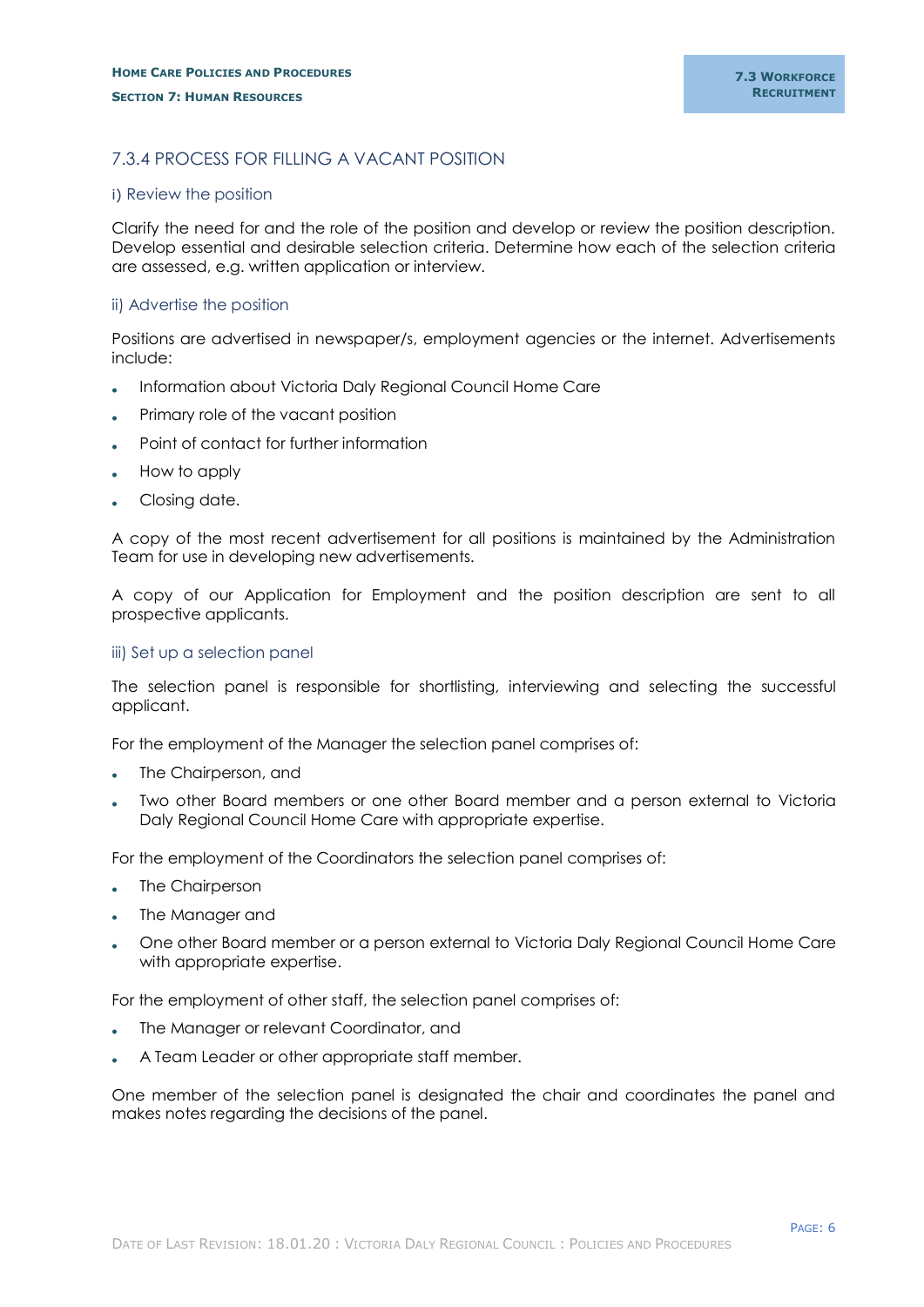## <span id="page-7-0"></span>7.3.4 PROCESS FOR FILLING A VACANT POSITION

#### <span id="page-7-1"></span>i) Review the position

Clarify the need for and the role of the position and develop or review the position description. Develop essential and desirable selection criteria. Determine how each of the selection criteria are assessed, e.g. written application or interview.

#### <span id="page-7-2"></span>ii) Advertise the position

Positions are advertised in newspaper/s, employment agencies or the internet. Advertisements include:

- Information about Victoria Daly Regional Council Home Care
- Primary role of the vacant position
- Point of contact for further information
- How to apply
- Closing date.

A copy of the most recent advertisement for all positions is maintained by the Administration Team for use in developing new advertisements.

A copy of our Application for Employment and the position description are sent to all prospective applicants.

#### <span id="page-7-3"></span>iii) Set up a selection panel

The selection panel is responsible for shortlisting, interviewing and selecting the successful applicant.

For the employment of the Manager the selection panel comprises of:

- The Chairperson, and
- Two other Board members or one other Board member and a person external to Victoria Daly Regional Council Home Care with appropriate expertise.

For the employment of the Coordinators the selection panel comprises of:

- The Chairperson
- The Manager and
- One other Board member or a person external to Victoria Daly Regional Council Home Care with appropriate expertise.

For the employment of other staff, the selection panel comprises of:

- The Manager or relevant Coordinator, and
- A Team Leader or other appropriate staff member.

One member of the selection panel is designated the chair and coordinates the panel and makes notes regarding the decisions of the panel.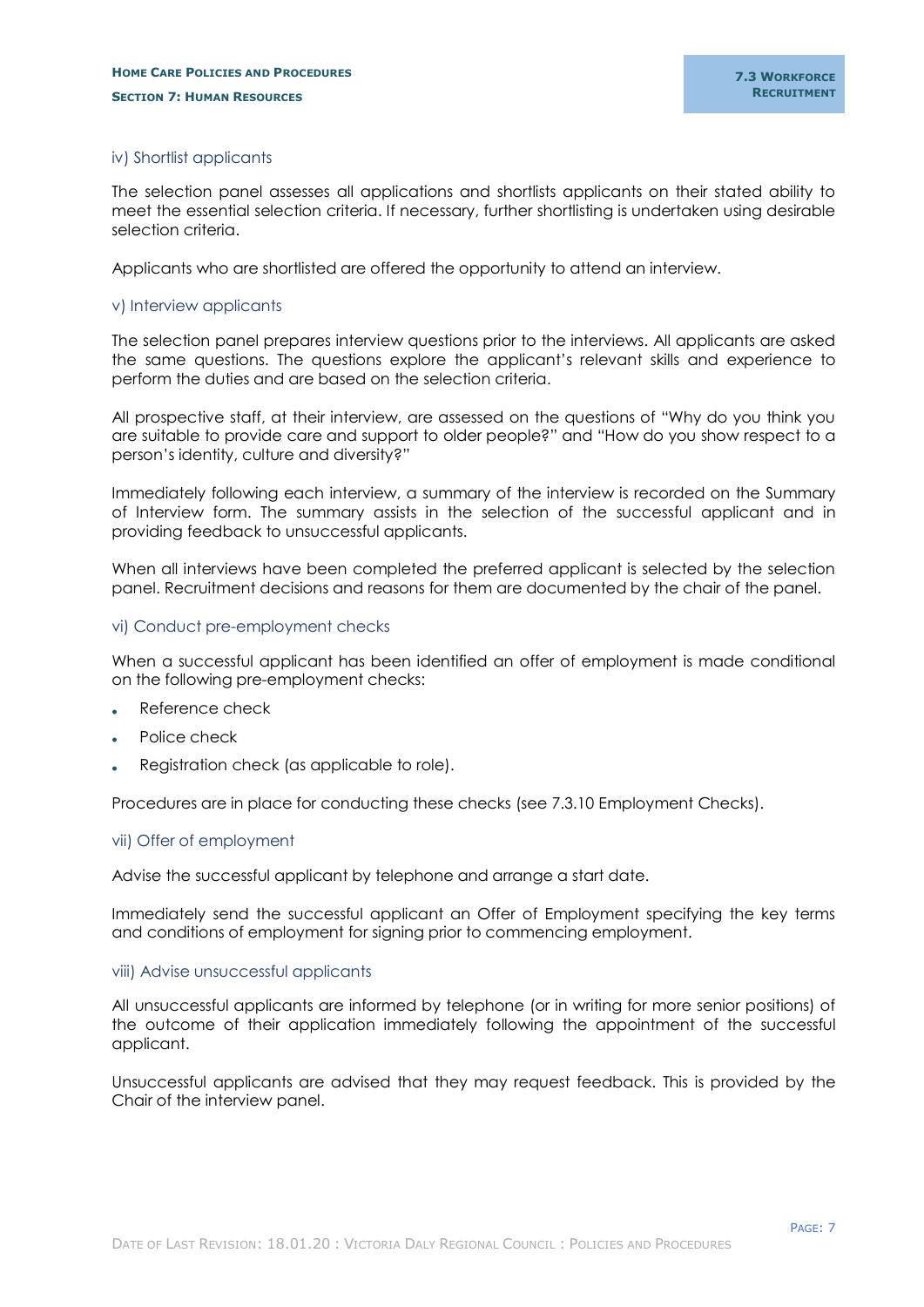## <span id="page-8-0"></span>iv) Shortlist applicants

The selection panel assesses all applications and shortlists applicants on their stated ability to meet the essential selection criteria. If necessary, further shortlisting is undertaken using desirable selection criteria.

Applicants who are shortlisted are offered the opportunity to attend an interview.

#### <span id="page-8-1"></span>v) Interview applicants

The selection panel prepares interview questions prior to the interviews. All applicants are asked the same questions. The questions explore the applicant's relevant skills and experience to perform the duties and are based on the selection criteria.

All prospective staff, at their interview, are assessed on the questions of "Why do you think you are suitable to provide care and support to older people?" and "How do you show respect to a person's identity, culture and diversity?"

Immediately following each interview, a summary of the interview is recorded on the Summary of Interview form. The summary assists in the selection of the successful applicant and in providing feedback to unsuccessful applicants.

When all interviews have been completed the preferred applicant is selected by the selection panel. Recruitment decisions and reasons for them are documented by the chair of the panel.

#### <span id="page-8-2"></span>vi) Conduct pre-employment checks

When a successful applicant has been identified an offer of employment is made conditional on the following pre-employment checks:

- Reference check
- Police check
- Registration check (as applicable to role).

Procedures are in place for conducting these checks (see 7.3.10 Employment Checks).

#### <span id="page-8-3"></span>vii) Offer of employment

Advise the successful applicant by telephone and arrange a start date.

Immediately send the successful applicant an Offer of Employment specifying the key terms and conditions of employment for signing prior to commencing employment.

#### <span id="page-8-4"></span>viii) Advise unsuccessful applicants

All unsuccessful applicants are informed by telephone (or in writing for more senior positions) of the outcome of their application immediately following the appointment of the successful applicant.

Unsuccessful applicants are advised that they may request feedback. This is provided by the Chair of the interview panel.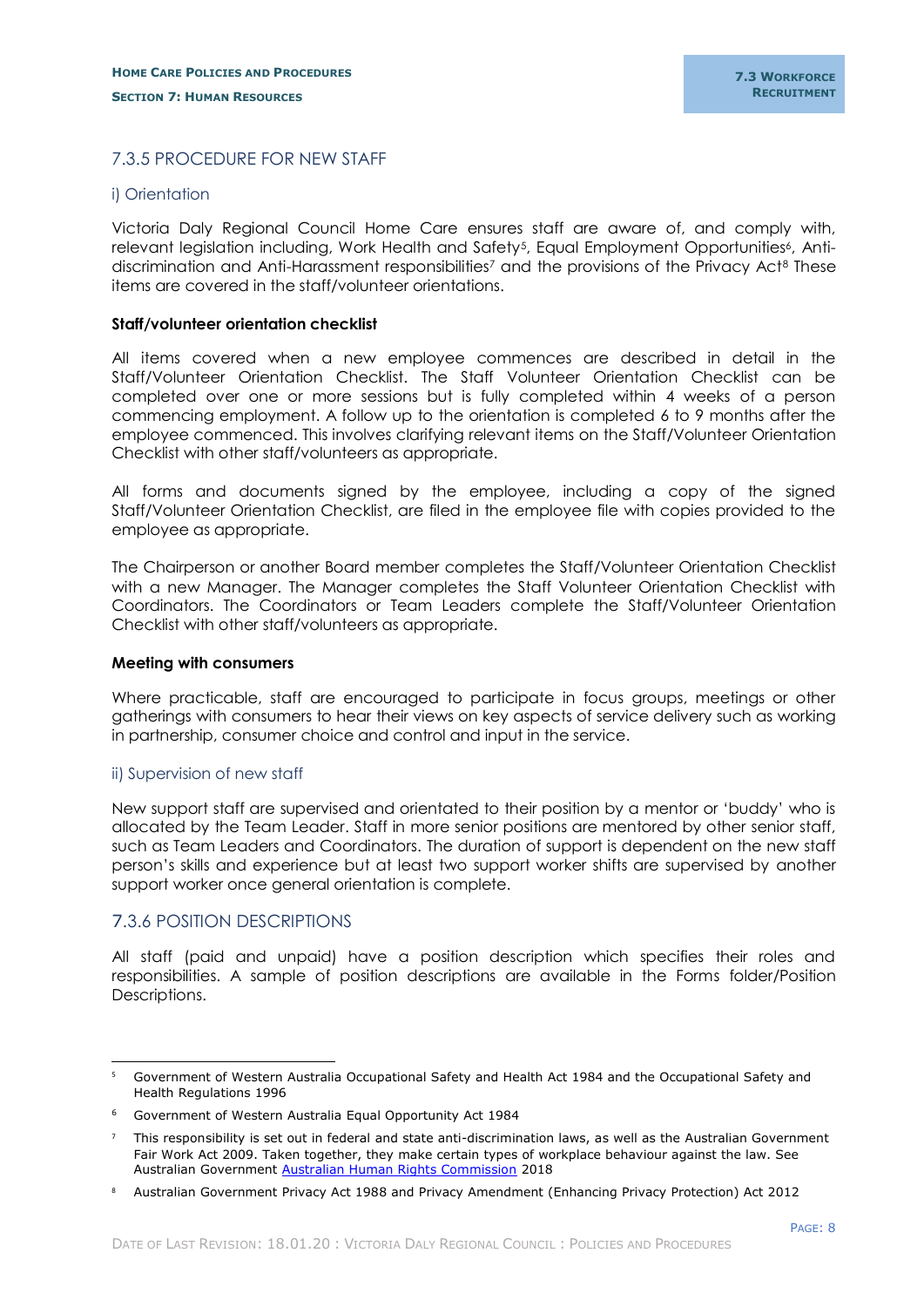## <span id="page-9-0"></span>7.3.5 PROCEDURE FOR NEW STAFF

#### <span id="page-9-1"></span>i) Orientation

Victoria Daly Regional Council Home Care ensures staff are aware of, and comply with, relevant legislation including, Work Health and Safety<sup>5</sup>, Equal Employment Opportunities<sup>6</sup>, Antidiscrimination and Anti-Harassment responsibilities<sup>7</sup> and the provisions of the Privacy Act<sup>8</sup> These items are covered in the staff/volunteer orientations.

#### **Staff/volunteer orientation checklist**

All items covered when a new employee commences are described in detail in the Staff/Volunteer Orientation Checklist. The Staff Volunteer Orientation Checklist can be completed over one or more sessions but is fully completed within 4 weeks of a person commencing employment. A follow up to the orientation is completed 6 to 9 months after the employee commenced. This involves clarifying relevant items on the Staff/Volunteer Orientation Checklist with other staff/volunteers as appropriate.

All forms and documents signed by the employee, including a copy of the signed Staff/Volunteer Orientation Checklist, are filed in the employee file with copies provided to the employee as appropriate.

The Chairperson or another Board member completes the Staff/Volunteer Orientation Checklist with a new Manager. The Manager completes the Staff Volunteer Orientation Checklist with Coordinators. The Coordinators or Team Leaders complete the Staff/Volunteer Orientation Checklist with other staff/volunteers as appropriate.

#### **Meeting with consumers**

Where practicable, staff are encouraged to participate in focus groups, meetings or other gatherings with consumers to hear their views on key aspects of service delivery such as working in partnership, consumer choice and control and input in the service.

#### <span id="page-9-2"></span>ii) Supervision of new staff

New support staff are supervised and orientated to their position by a mentor or 'buddy' who is allocated by the Team Leader. Staff in more senior positions are mentored by other senior staff, such as Team Leaders and Coordinators. The duration of support is dependent on the new staff person's skills and experience but at least two support worker shifts are supervised by another support worker once general orientation is complete.

#### <span id="page-9-3"></span>7.3.6 POSITION DESCRIPTIONS

All staff (paid and unpaid) have a position description which specifies their roles and responsibilities. A sample of position descriptions are available in the Forms folder/Position Descriptions.

<sup>-</sup><sup>5</sup> Government of Western Australia Occupational Safety and Health Act 1984 and the Occupational Safety and Health Regulations 1996

<sup>6</sup> Government of Western Australia Equal Opportunity Act 1984

<sup>7</sup> This responsibility is set out in federal and state anti-discrimination laws, as well as the Australian Government Fair Work Act 2009. Taken together, they make certain types of workplace behaviour against the law. See Australian Government [Australian Human Rights Commission](https://www.humanrights.gov.au/employers/good-practice-good-business-factsheets/workplace-discrimination-harassment-and-bullying) 2018

<sup>8</sup> Australian Government Privacy Act 1988 and Privacy Amendment (Enhancing Privacy Protection) Act 2012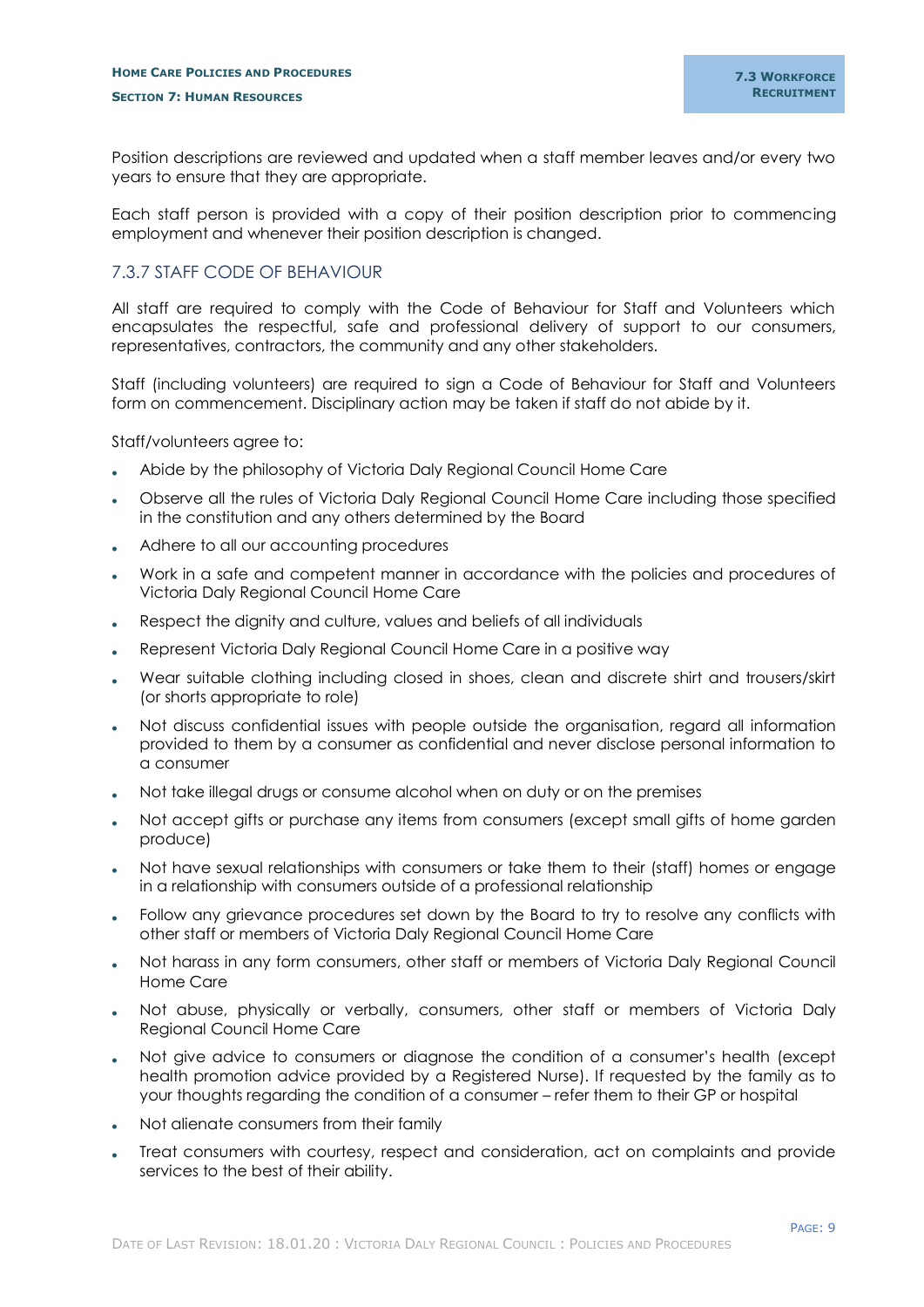Position descriptions are reviewed and updated when a staff member leaves and/or every two years to ensure that they are appropriate.

Each staff person is provided with a copy of their position description prior to commencing employment and whenever their position description is changed.

## <span id="page-10-0"></span>7.3.7 STAFF CODE OF BEHAVIOUR

All staff are required to comply with the Code of Behaviour for Staff and Volunteers which encapsulates the respectful, safe and professional delivery of support to our consumers, representatives, contractors, the community and any other stakeholders.

Staff (including volunteers) are required to sign a Code of Behaviour for Staff and Volunteers form on commencement. Disciplinary action may be taken if staff do not abide by it.

Staff/volunteers agree to:

- Abide by the philosophy of Victoria Daly Regional Council Home Care
- Observe all the rules of Victoria Daly Regional Council Home Care including those specified in the constitution and any others determined by the Board
- Adhere to all our accounting procedures
- Work in a safe and competent manner in accordance with the policies and procedures of Victoria Daly Regional Council Home Care
- Respect the dignity and culture, values and beliefs of all individuals
- Represent Victoria Daly Regional Council Home Care in a positive way
- Wear suitable clothing including closed in shoes, clean and discrete shirt and trousers/skirt (or shorts appropriate to role)
- Not discuss confidential issues with people outside the organisation, regard all information provided to them by a consumer as confidential and never disclose personal information to a consumer
- Not take illegal drugs or consume alcohol when on duty or on the premises
- Not accept gifts or purchase any items from consumers (except small gifts of home garden produce)
- Not have sexual relationships with consumers or take them to their (staff) homes or engage in a relationship with consumers outside of a professional relationship
- Follow any grievance procedures set down by the Board to try to resolve any conflicts with other staff or members of Victoria Daly Regional Council Home Care
- Not harass in any form consumers, other staff or members of Victoria Daly Regional Council Home Care
- Not abuse, physically or verbally, consumers, other staff or members of Victoria Daly Regional Council Home Care
- Not give advice to consumers or diagnose the condition of a consumer's health (except health promotion advice provided by a Registered Nurse). If requested by the family as to your thoughts regarding the condition of a consumer – refer them to their GP or hospital
- Not alienate consumers from their family
- Treat consumers with courtesy, respect and consideration, act on complaints and provide services to the best of their ability.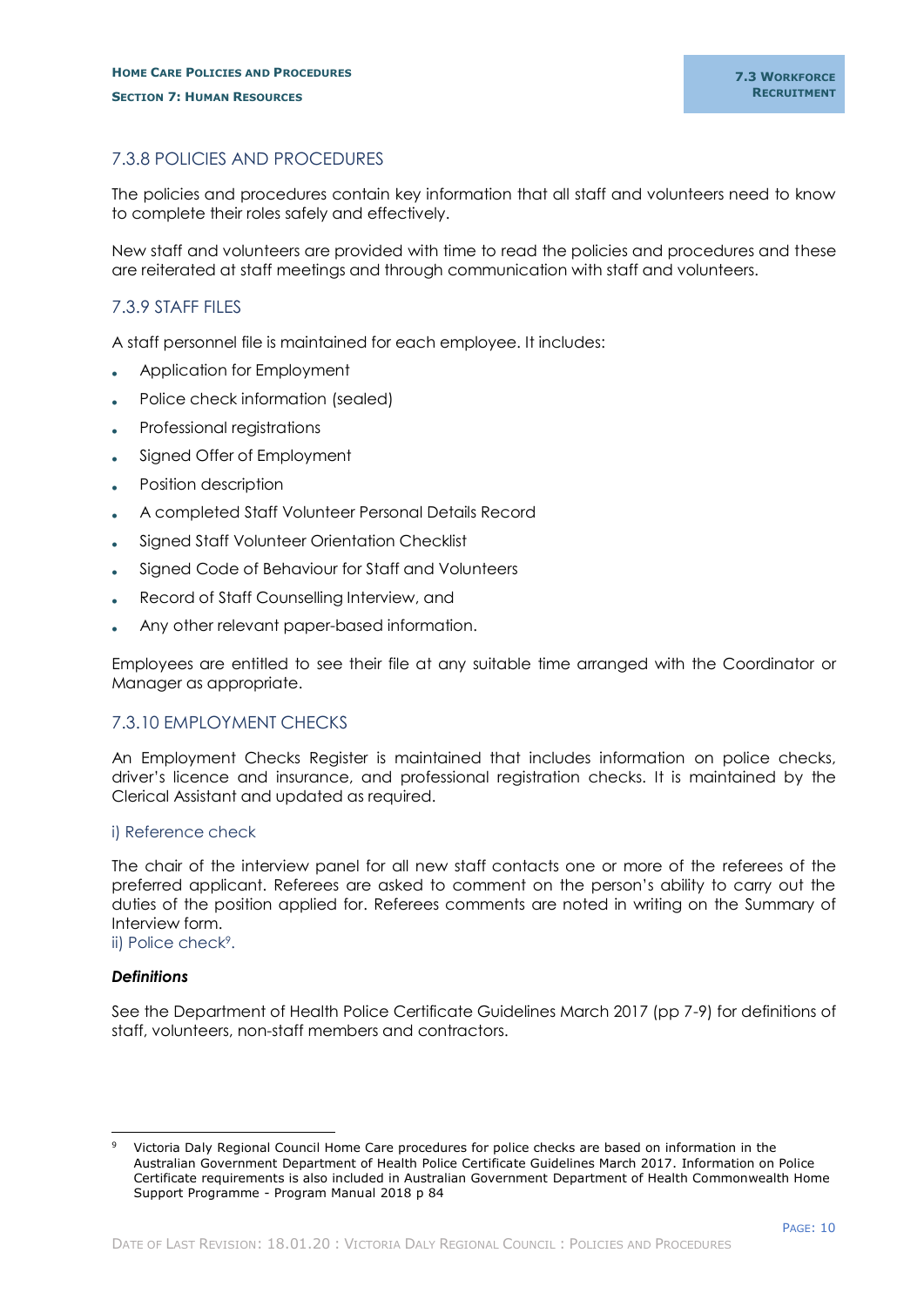# <span id="page-11-0"></span>7.3.8 POLICIES AND PROCEDURES

The policies and procedures contain key information that all staff and volunteers need to know to complete their roles safely and effectively.

New staff and volunteers are provided with time to read the policies and procedures and these are reiterated at staff meetings and through communication with staff and volunteers.

# <span id="page-11-1"></span>7.3.9 STAFF FILES

A staff personnel file is maintained for each employee. It includes:

- Application for Employment
- Police check information (sealed)
- Professional registrations
- Signed Offer of Employment
- Position description
- A completed Staff Volunteer Personal Details Record
- Signed Staff Volunteer Orientation Checklist
- Signed Code of Behaviour for Staff and Volunteers
- Record of Staff Counselling Interview, and
- Any other relevant paper-based information.

Employees are entitled to see their file at any suitable time arranged with the Coordinator or Manager as appropriate.

#### <span id="page-11-2"></span>7.3.10 EMPLOYMENT CHECKS

An Employment Checks Register is maintained that includes information on police checks, driver's licence and insurance, and professional registration checks. It is maintained by the Clerical Assistant and updated as required.

#### <span id="page-11-3"></span>i) Reference check

The chair of the interview panel for all new staff contacts one or more of the referees of the preferred applicant. Referees are asked to comment on the person's ability to carry out the duties of the position applied for. Referees comments are noted in writing on the Summary of Interview form.

<span id="page-11-4"></span>ii) Police check<sup>9</sup>.

#### *Definitions*

-

See the Department of Health Police Certificate Guidelines March 2017 (pp 7-9) for definitions of staff, volunteers, non-staff members and contractors.

<sup>9</sup> Victoria Daly Regional Council Home Care procedures for police checks are based on information in the Australian Government Department of Health Police Certificate Guidelines March 2017. Information on Police Certificate requirements is also included in Australian Government Department of Health Commonwealth Home Support Programme - Program Manual 2018 p 84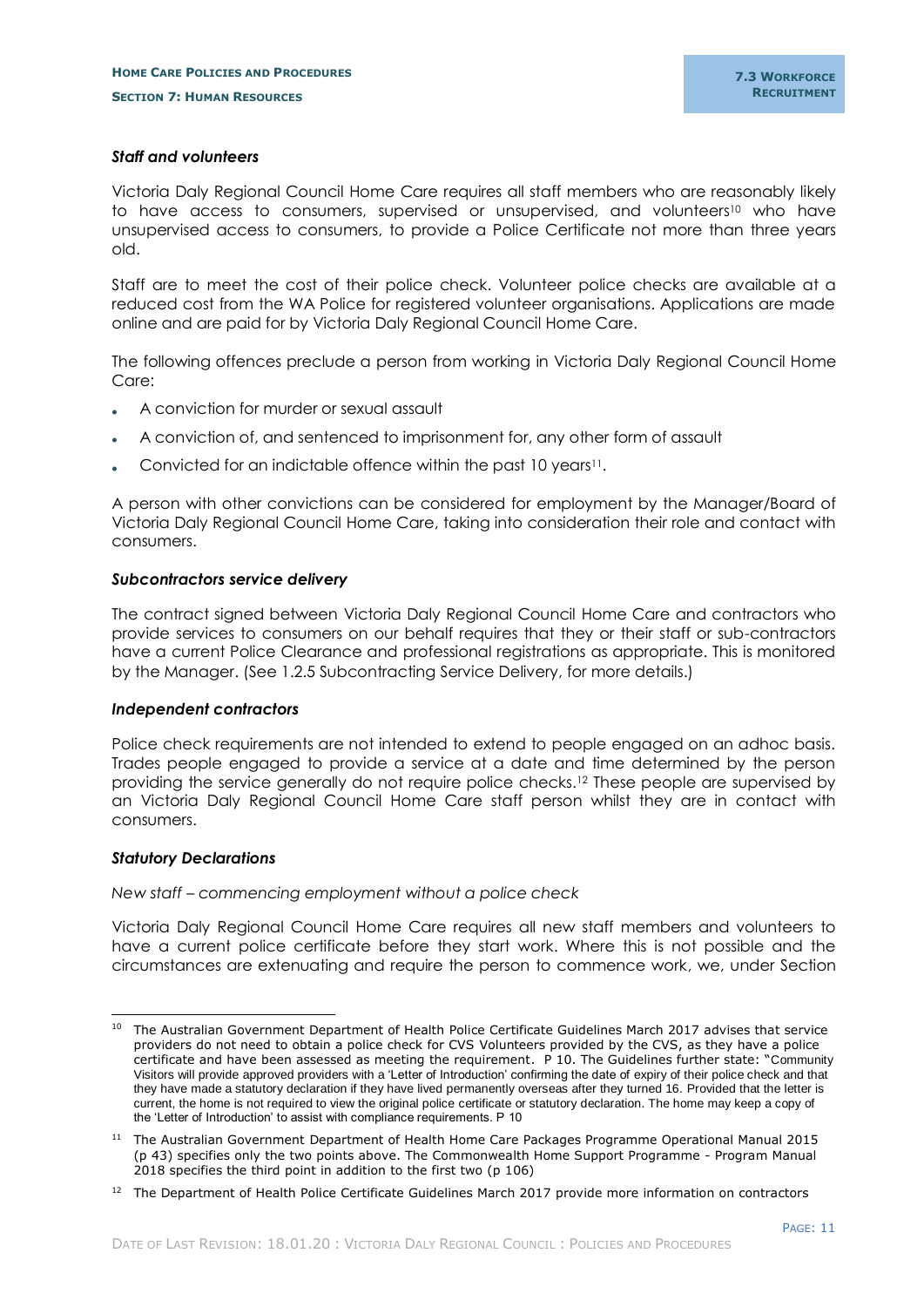#### *Staff and volunteers*

Victoria Daly Regional Council Home Care requires all staff members who are reasonably likely to have access to consumers, supervised or unsupervised, and volunteers<sup>10</sup> who have unsupervised access to consumers, to provide a Police Certificate not more than three years old.

Staff are to meet the cost of their police check. Volunteer police checks are available at a reduced cost from the WA Police for registered volunteer organisations. Applications are made online and are paid for by Victoria Daly Regional Council Home Care.

The following offences preclude a person from working in Victoria Daly Regional Council Home Care:

- A conviction for murder or sexual assault
- A conviction of, and sentenced to imprisonment for, any other form of assault
- Convicted for an indictable offence within the past 10 years<sup>11</sup>.

A person with other convictions can be considered for employment by the Manager/Board of Victoria Daly Regional Council Home Care, taking into consideration their role and contact with consumers.

#### *Subcontractors service delivery*

The contract signed between Victoria Daly Regional Council Home Care and contractors who provide services to consumers on our behalf requires that they or their staff or sub-contractors have a current Police Clearance and professional registrations as appropriate. This is monitored by the Manager. (See 1.2.5 Subcontracting Service Delivery, for more details.)

#### *Independent contractors*

Police check requirements are not intended to extend to people engaged on an adhoc basis. Trades people engaged to provide a service at a date and time determined by the person providing the service generally do not require police checks.<sup>12</sup> These people are supervised by an Victoria Daly Regional Council Home Care staff person whilst they are in contact with consumers.

#### *Statutory Declarations*

-

#### *New staff – commencing employment without a police check*

Victoria Daly Regional Council Home Care requires all new staff members and volunteers to have a current police certificate before they start work. Where this is not possible and the circumstances are extenuating and require the person to commence work, we, under Section

<sup>&</sup>lt;sup>10</sup> The Australian Government Department of Health Police Certificate Guidelines March 2017 advises that service providers do not need to obtain a police check for CVS Volunteers provided by the CVS, as they have a police certificate and have been assessed as meeting the requirement. P 10. The Guidelines further state: "Community Visitors will provide approved providers with a 'Letter of Introduction' confirming the date of expiry of their police check and that they have made a statutory declaration if they have lived permanently overseas after they turned 16. Provided that the letter is current, the home is not required to view the original police certificate or statutory declaration. The home may keep a copy of the 'Letter of Introduction' to assist with compliance requirements. P 10

<sup>11</sup> The Australian Government Department of Health Home Care Packages Programme Operational Manual 2015 (p 43) specifies only the two points above. The Commonwealth Home Support Programme - Program Manual 2018 specifies the third point in addition to the first two (p 106)

<sup>&</sup>lt;sup>12</sup> The Department of Health Police Certificate Guidelines March 2017 provide more information on contractors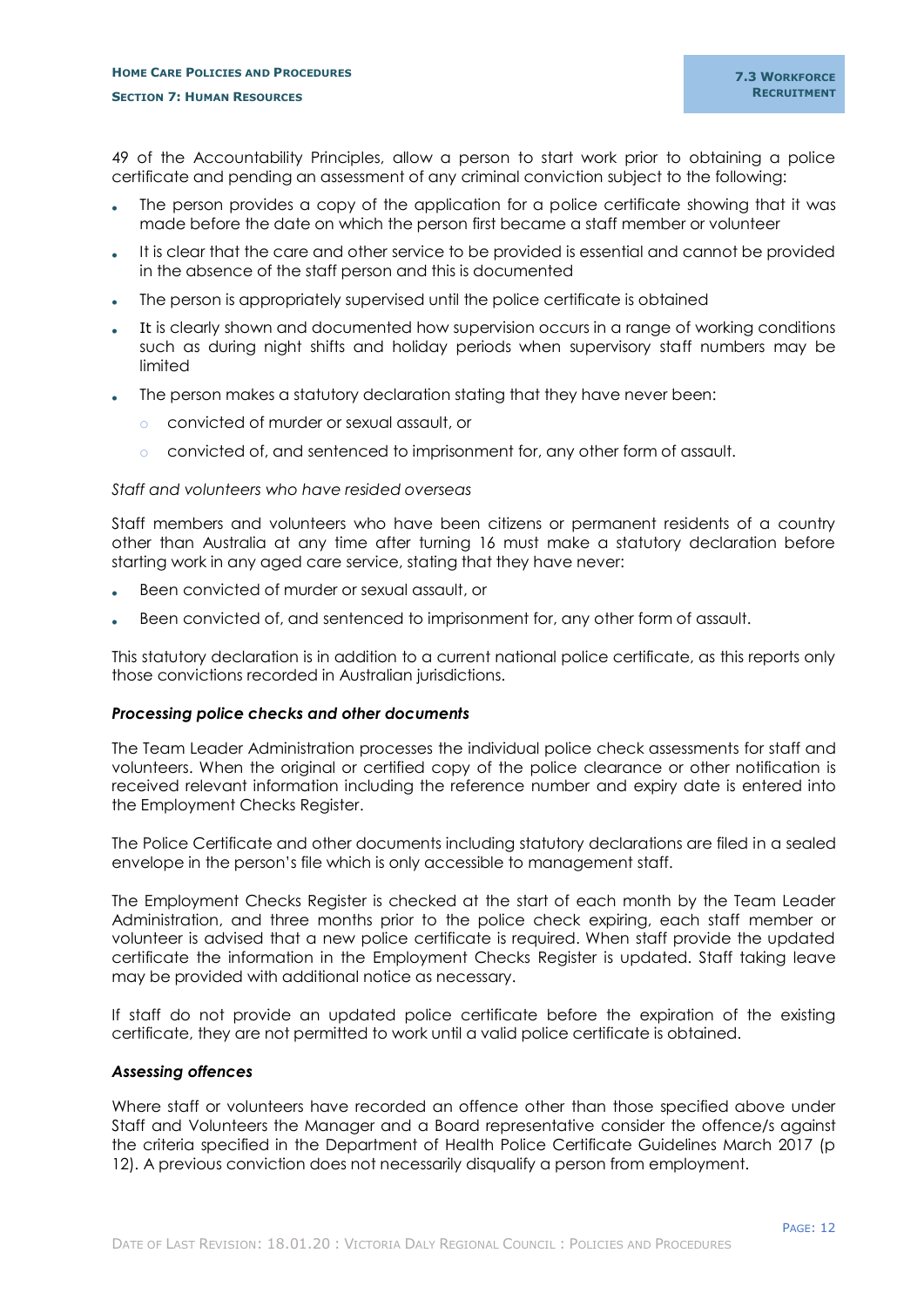49 of the Accountability Principles, allow a person to start work prior to obtaining a police certificate and pending an assessment of any criminal conviction subject to the following:

- The person provides a copy of the application for a police certificate showing that it was made before the date on which the person first became a staff member or volunteer
- It is clear that the care and other service to be provided is essential and cannot be provided in the absence of the staff person and this is documented
- The person is appropriately supervised until the police certificate is obtained
- It is clearly shown and documented how supervision occurs in a range of working conditions such as during night shifts and holiday periods when supervisory staff numbers may be limited
- The person makes a statutory declaration stating that they have never been:
	- o convicted of murder or sexual assault, or
	- o convicted of, and sentenced to imprisonment for, any other form of assault.

#### *Staff and volunteers who have resided overseas*

Staff members and volunteers who have been citizens or permanent residents of a country other than Australia at any time after turning 16 must make a statutory declaration before starting work in any aged care service, stating that they have never:

- Been convicted of murder or sexual assault, or
- Been convicted of, and sentenced to imprisonment for, any other form of assault.

This statutory declaration is in addition to a current national police certificate, as this reports only those convictions recorded in Australian jurisdictions.

#### *Processing police checks and other documents*

The Team Leader Administration processes the [individual police check assessments](file:///C:/Users/vdrccsm/AppData/Local/Microsoft/Windows/INetCache/AppData/Local/Microsoft/Windows/INetCache/Content.Outlook/AppData/Local/Microsoft/Windows/DOHA%20HACC%20Reform/Revised%20Generic%20P&P/Forms/Section%207%20Individual%20Police%20Check%20Assessment.doc) for staff and volunteers. When the original or certified copy of the police clearance or other notification is received relevant information including the reference number and expiry date is entered into the Employment Checks Register.

The Police Certificate and other documents including statutory declarations are filed in a sealed envelope in the person's file which is only accessible to management staff.

The Employment Checks Register is checked at the start of each month by the Team Leader Administration, and three months prior to the police check expiring, each staff member or volunteer is advised that a new police certificate is required. When staff provide the updated certificate the information in the Employment Checks Register is updated. Staff taking leave may be provided with additional notice as necessary.

If staff do not provide an updated police certificate before the expiration of the existing certificate, they are not permitted to work until a valid police certificate is obtained.

#### *Assessing offences*

Where staff or volunteers have recorded an offence other than those specified above under Staff and Volunteers the Manager and a Board representative consider the offence/s against the criteria specified in the Department of Health Police Certificate Guidelines March 2017 (p 12). A previous conviction does not necessarily disqualify a person from employment.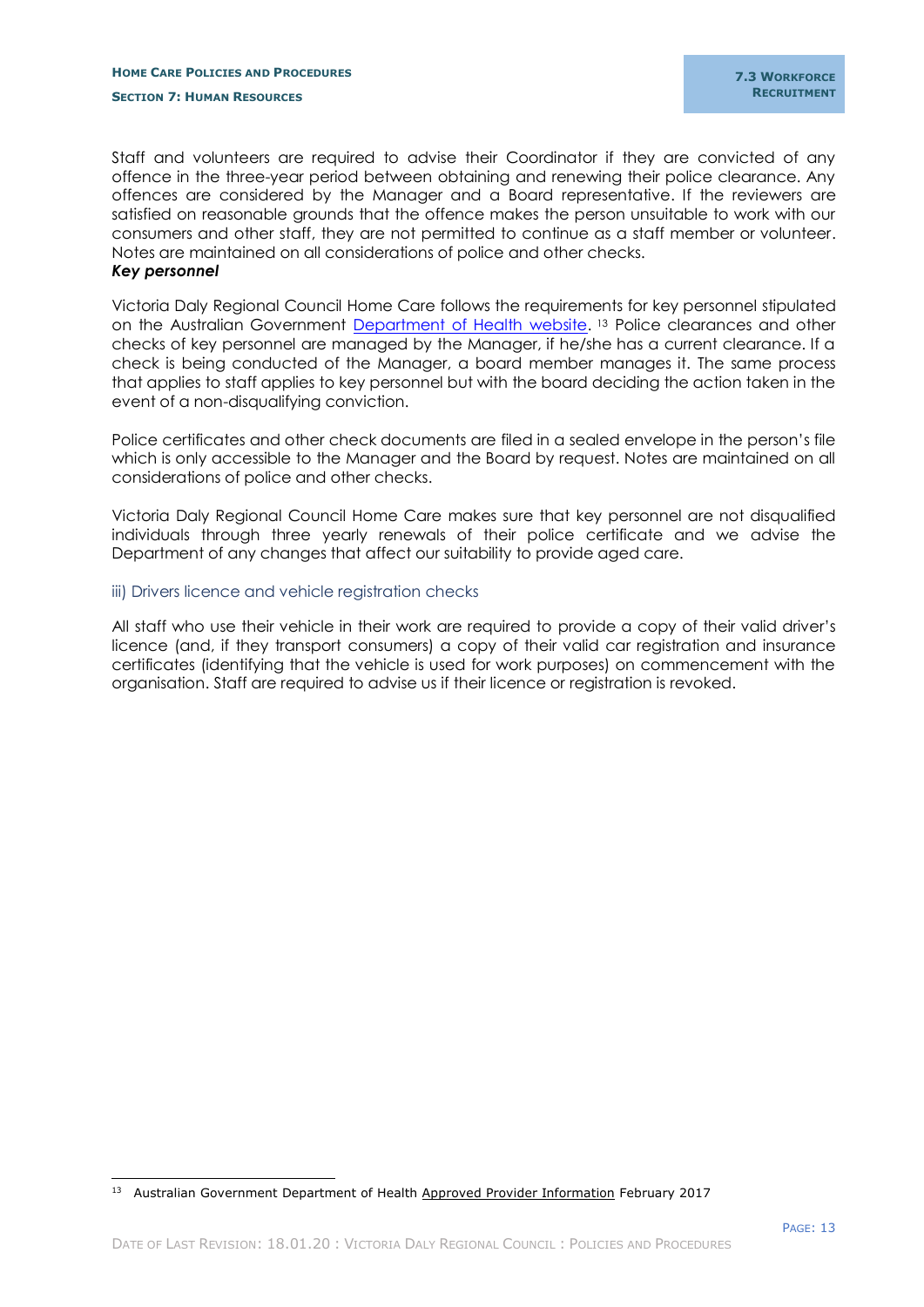Staff and volunteers are required to advise their Coordinator if they are convicted of any offence in the three-year period between obtaining and renewing their police clearance. Any offences are considered by the Manager and a Board representative. If the reviewers are satisfied on reasonable grounds that the offence makes the person unsuitable to work with our consumers and other staff, they are not permitted to continue as a staff member or volunteer. Notes are maintained on all considerations of police and other checks. *Key personnel*

#### Victoria Daly Regional Council Home Care follows the requirements for key personnel stipulated on the Australian Government **Department of Health website**. <sup>13</sup> Police clearances and other checks of key personnel are managed by the Manager, if he/she has a current clearance. If a check is being conducted of the Manager, a board member manages it. The same process that applies to staff applies to key personnel but with the board deciding the action taken in the event of a non-disqualifying conviction.

Police certificates and other check documents are filed in a sealed envelope in the person's file which is only accessible to the Manager and the Board by request. Notes are maintained on all considerations of police and other checks.

Victoria Daly Regional Council Home Care makes sure that key personnel are not disqualified individuals through three yearly renewals of their police certificate and we advise the Department of any changes that affect our suitability to provide aged care.

#### <span id="page-14-0"></span>iii) Drivers licence and vehicle reaistration checks

-

All staff who use their vehicle in their work are required to provide a copy of their valid driver's licence (and, if they transport consumers) a copy of their valid car registration and insurance certificates (identifying that the vehicle is used for work purposes) on commencement with the organisation. Staff are required to advise us if their licence or registration is revoked.

<sup>&</sup>lt;sup>13</sup> Australian Government Department of Health [Approved Provider Information](https://agedcare.health.gov.au/aged-care-funding/approved-provider-information) February 2017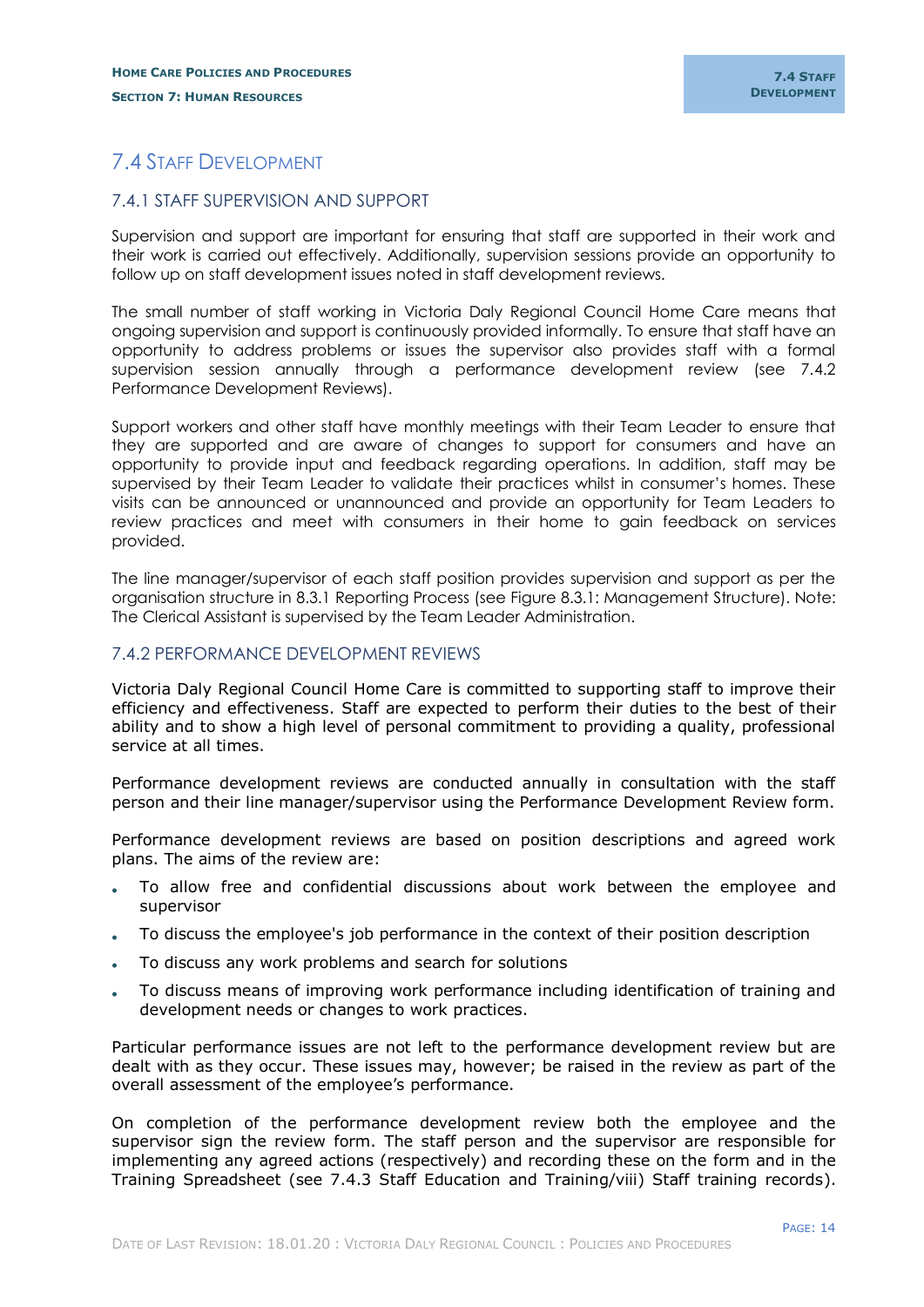# <span id="page-15-0"></span>7.4 STAFF DEVELOPMENT

# <span id="page-15-1"></span>7.4.1 STAFF SUPERVISION AND SUPPORT

Supervision and support are important for ensuring that staff are supported in their work and their work is carried out effectively. Additionally, supervision sessions provide an opportunity to follow up on staff development issues noted in staff development reviews.

The small number of staff working in Victoria Daly Regional Council Home Care means that ongoing supervision and support is continuously provided informally. To ensure that staff have an opportunity to address problems or issues the supervisor also provides staff with a formal supervision session annually through a performance development review (see 7.4.2 Performance Development Reviews).

Support workers and other staff have monthly meetings with their Team Leader to ensure that they are supported and are aware of changes to support for consumers and have an opportunity to provide input and feedback regarding operations. In addition, staff may be supervised by their Team Leader to validate their practices whilst in consumer's homes. These visits can be announced or unannounced and provide an opportunity for Team Leaders to review practices and meet with consumers in their home to gain feedback on services provided.

The line manager/supervisor of each staff position provides supervision and support as per the organisation structure in 8.3.1 Reporting Process (see Figure 8.3.1: Management Structure). Note: The Clerical Assistant is supervised by the Team Leader Administration.

## <span id="page-15-2"></span>7.4.2 PERFORMANCE DEVELOPMENT REVIEWS

Victoria Daly Regional Council Home Care is committed to supporting staff to improve their efficiency and effectiveness. Staff are expected to perform their duties to the best of their ability and to show a high level of personal commitment to providing a quality, professional service at all times.

Performance development reviews are conducted annually in consultation with the staff person and their line manager/supervisor using the Performance Development Review form.

Performance development reviews are based on position descriptions and agreed work plans. The aims of the review are:

- To allow free and confidential discussions about work between the employee and supervisor
- To discuss the employee's job performance in the context of their position description
- To discuss any work problems and search for solutions
- To discuss means of improving work performance including identification of training and development needs or changes to work practices.

Particular performance issues are not left to the performance development review but are dealt with as they occur. These issues may, however; be raised in the review as part of the overall assessment of the employee's performance.

On completion of the performance development review both the employee and the supervisor sign the review form. The staff person and the supervisor are responsible for implementing any agreed actions (respectively) and recording these on the form and in the Training Spreadsheet (see 7.4.3 Staff Education and Training/viii) Staff training records).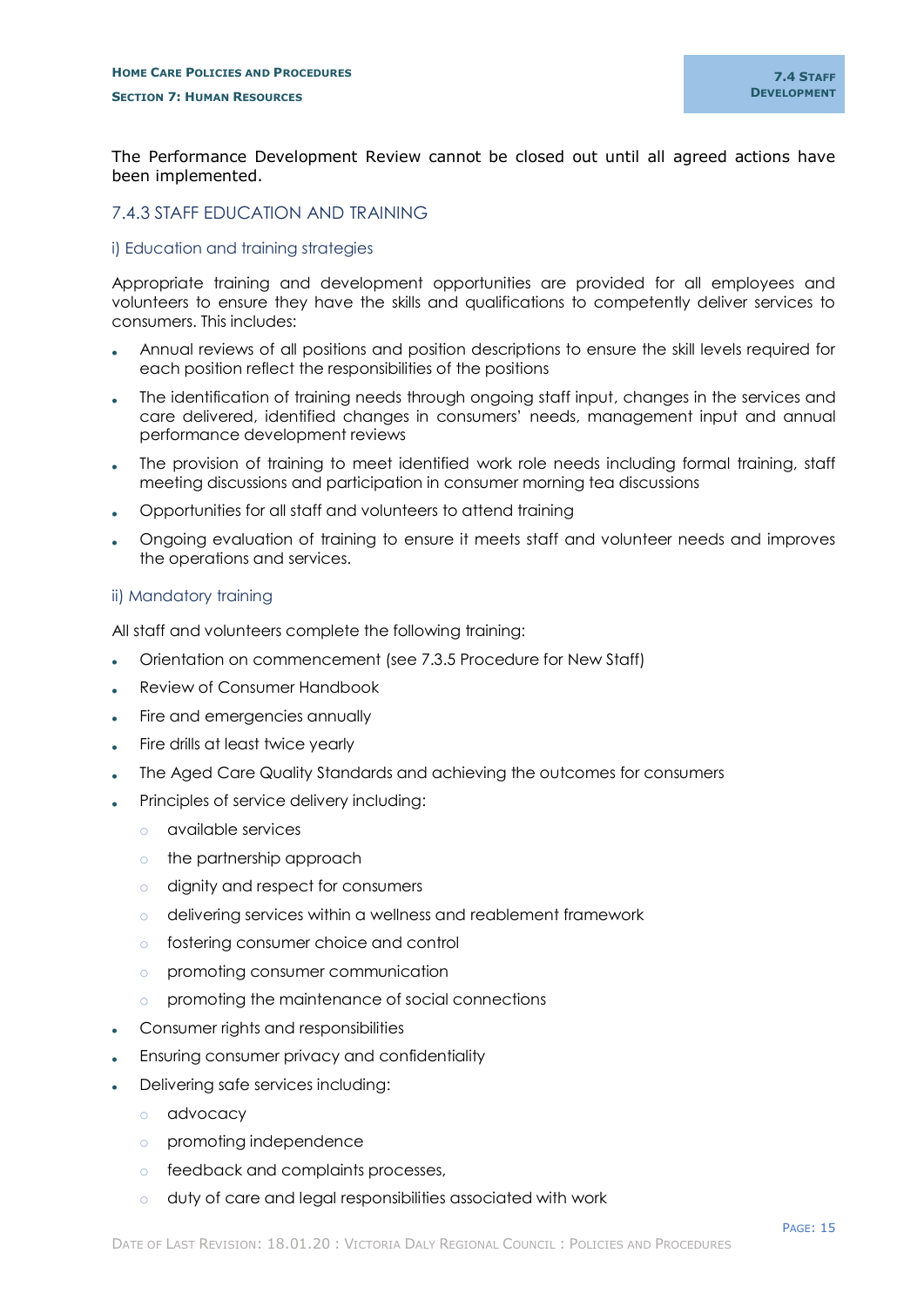The Performance Development Review cannot be closed out until all agreed actions have been implemented.

#### <span id="page-16-0"></span>7.4.3 STAFF EDUCATION AND TRAINING

#### <span id="page-16-1"></span>i) Education and training strategies

Appropriate training and development opportunities are provided for all employees and volunteers to ensure they have the skills and qualifications to competently deliver services to consumers. This includes:

- Annual reviews of all positions and position descriptions to ensure the skill levels required for each position reflect the responsibilities of the positions
- The identification of training needs through ongoing staff input, changes in the services and care delivered, identified changes in consumers' needs, management input and annual performance development reviews
- The provision of training to meet identified work role needs including formal training, staff meeting discussions and participation in consumer morning tea discussions
- Opportunities for all staff and volunteers to attend training
- Ongoing evaluation of training to ensure it meets staff and volunteer needs and improves the operations and services.

#### <span id="page-16-2"></span>ii) Mandatory training

All staff and volunteers complete the following training:

- Orientation on commencement (see 7.3.5 Procedure for New Staff)
- Review of Consumer Handbook
- Fire and emergencies annually
- Fire drills at least twice yearly
- The Aged Care Quality Standards and achieving the outcomes for consumers
- Principles of service delivery including:
	- o available services
	- o the partnership approach
	- o dignity and respect for consumers
	- o delivering services within a wellness and reablement framework
	- o fostering consumer choice and control
	- o promoting consumer communication
	- o promoting the maintenance of social connections
- Consumer rights and responsibilities
- Ensuring consumer privacy and confidentiality
- Delivering safe services including:
	- o advocacy
	- o promoting independence
	- o feedback and complaints processes,
	- o duty of care and legal responsibilities associated with work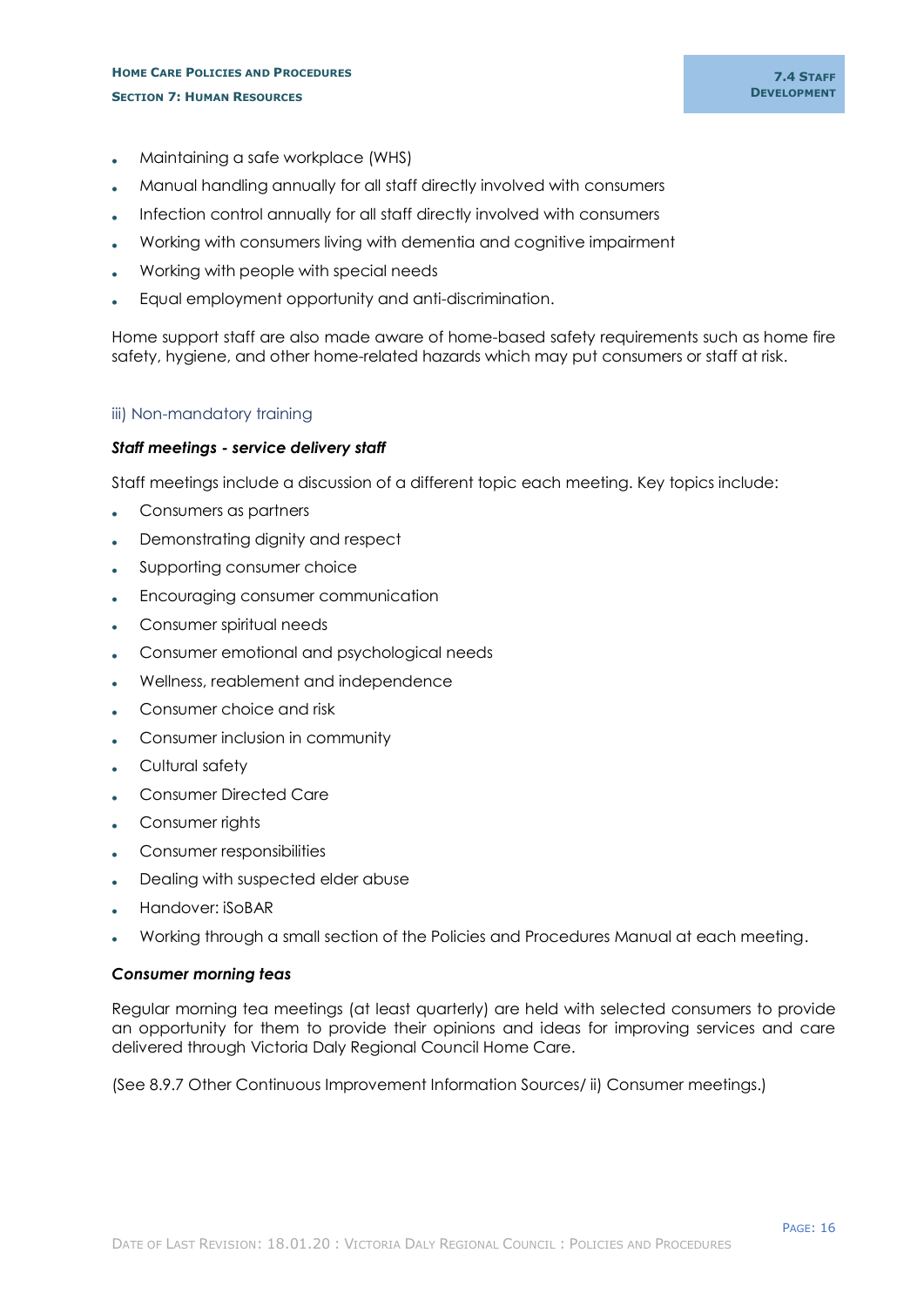- Maintaining a safe workplace (WHS)
- Manual handling annually for all staff directly involved with consumers
- Infection control annually for all staff directly involved with consumers
- Working with consumers living with dementia and cognitive impairment
- Working with people with special needs
- Equal employment opportunity and anti-discrimination.

Home support staff are also made aware of home-based safety requirements such as home fire safety, hygiene, and other home-related hazards which may put consumers or staff at risk.

#### <span id="page-17-0"></span>iii) Non-mandatory training

#### *Staff meetings - service delivery staff*

Staff meetings include a discussion of a different topic each meeting. Key topics include:

- Consumers as partners
- Demonstrating dignity and respect
- Supporting consumer choice
- Encouraging consumer communication
- Consumer spiritual needs
- Consumer emotional and psychological needs
- Wellness, reablement and independence
- Consumer choice and risk
- Consumer inclusion in community
- Cultural safety
- Consumer Directed Care
- Consumer rights
- Consumer responsibilities
- Dealing with suspected elder abuse
- Handover: iSoBAR
- Working through a small section of the Policies and Procedures Manual at each meeting.

#### *Consumer morning teas*

Regular morning tea meetings (at least quarterly) are held with selected consumers to provide an opportunity for them to provide their opinions and ideas for improving services and care delivered through Victoria Daly Regional Council Home Care.

(See 8.9.7 Other Continuous Improvement Information Sources/ ii) Consumer meetings.)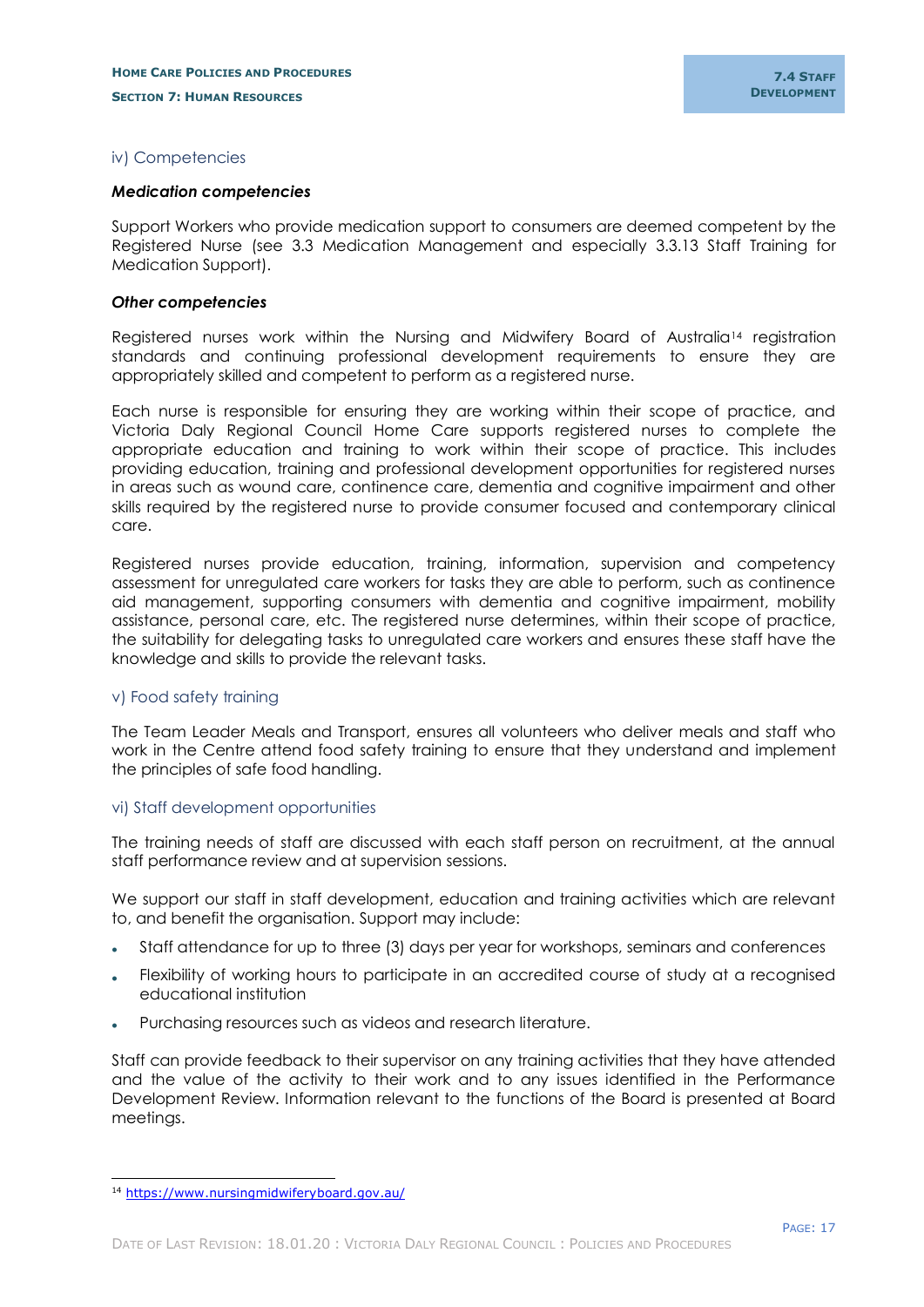#### <span id="page-18-0"></span>iv) Competencies

#### *Medication competencies*

Support Workers who provide medication support to consumers are deemed competent by the Registered Nurse (see 3.3 Medication Management and especially 3.3.13 Staff Training for Medication Support).

#### *Other competencies*

Registered nurses work within the Nursing and Midwifery Board of Australia<sup>14</sup> registration standards and continuing professional development requirements to ensure they are appropriately skilled and competent to perform as a registered nurse.

Each nurse is responsible for ensuring they are working within their scope of practice, and Victoria Daly Regional Council Home Care supports registered nurses to complete the appropriate education and training to work within their scope of practice. This includes providing education, training and professional development opportunities for registered nurses in areas such as wound care, continence care, dementia and cognitive impairment and other skills required by the registered nurse to provide consumer focused and contemporary clinical care.

Registered nurses provide education, training, information, supervision and competency assessment for unregulated care workers for tasks they are able to perform, such as continence aid management, supporting consumers with dementia and cognitive impairment, mobility assistance, personal care, etc. The registered nurse determines, within their scope of practice, the suitability for delegating tasks to unregulated care workers and ensures these staff have the knowledge and skills to provide the relevant tasks.

#### <span id="page-18-1"></span>v) Food safety training

The Team Leader Meals and Transport, ensures all volunteers who deliver meals and staff who work in the Centre attend food safety training to ensure that they understand and implement the principles of safe food handling.

#### <span id="page-18-2"></span>vi) Staff development opportunities

The training needs of staff are discussed with each staff person on recruitment, at the annual staff performance review and at supervision sessions.

We support our staff in staff development, education and training activities which are relevant to, and benefit the organisation. Support may include:

- Staff attendance for up to three (3) days per year for workshops, seminars and conferences
- Flexibility of working hours to participate in an accredited course of study at a recognised educational institution
- Purchasing resources such as videos and research literature.

Staff can provide feedback to their supervisor on any training activities that they have attended and the value of the activity to their work and to any issues identified in the Performance Development Review. Information relevant to the functions of the Board is presented at Board meetings.

-

<sup>14</sup> <https://www.nursingmidwiferyboard.gov.au/>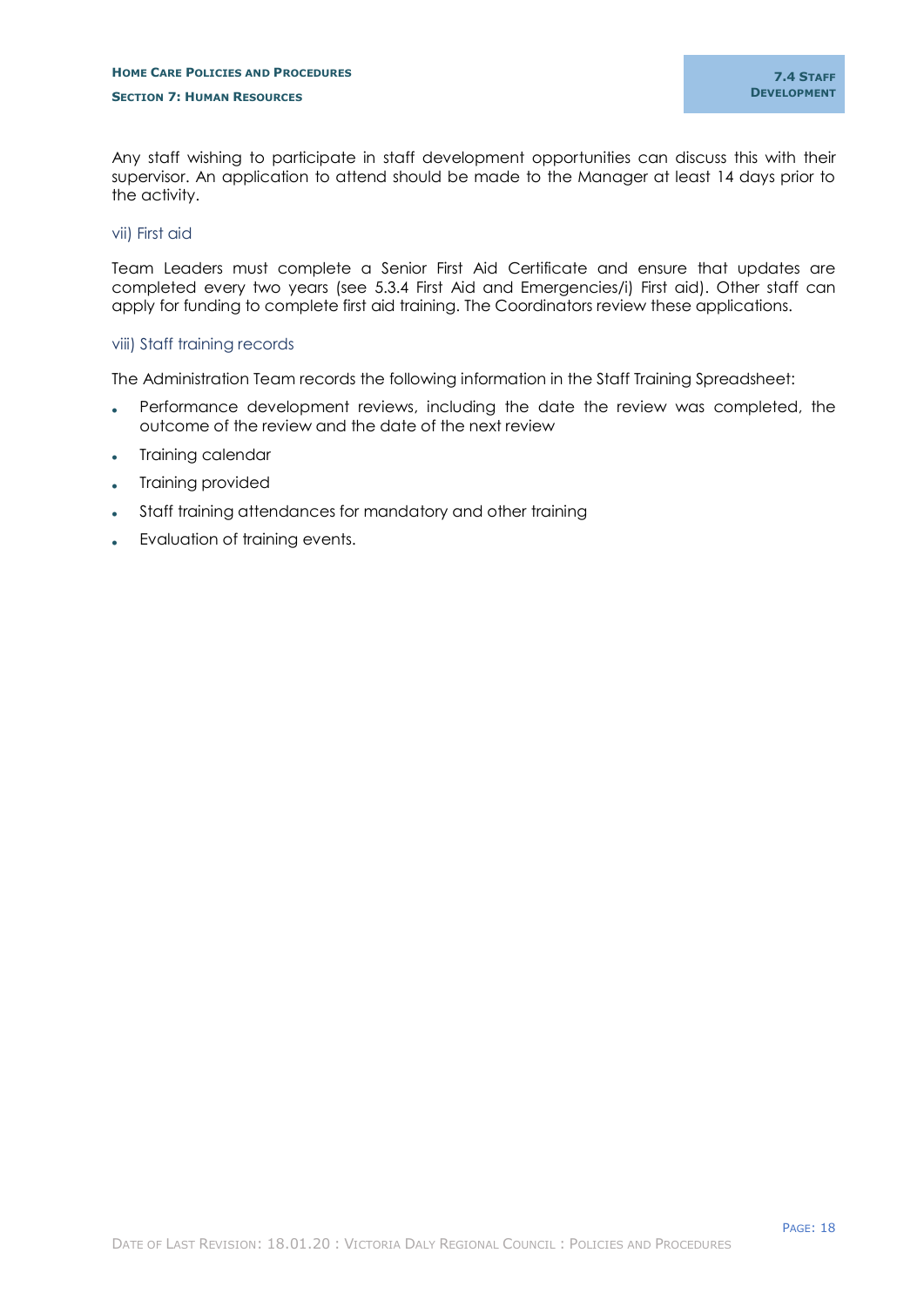Any staff wishing to participate in staff development opportunities can discuss this with their supervisor. An application to attend should be made to the Manager at least 14 days prior to the activity.

#### <span id="page-19-0"></span>vii) First aid

Team Leaders must complete a Senior First Aid Certificate and ensure that updates are completed every two years (see 5.3.4 First Aid and Emergencies/i) First aid). Other staff can apply for funding to complete first aid training. The Coordinators review these applications.

#### <span id="page-19-1"></span>viii) Staff training records

The Administration Team records the following information in the Staff Training Spreadsheet:

- Performance development reviews, including the date the review was completed, the outcome of the review and the date of the next review
- Training calendar
- Training provided
- Staff training attendances for mandatory and other training
- Evaluation of training events.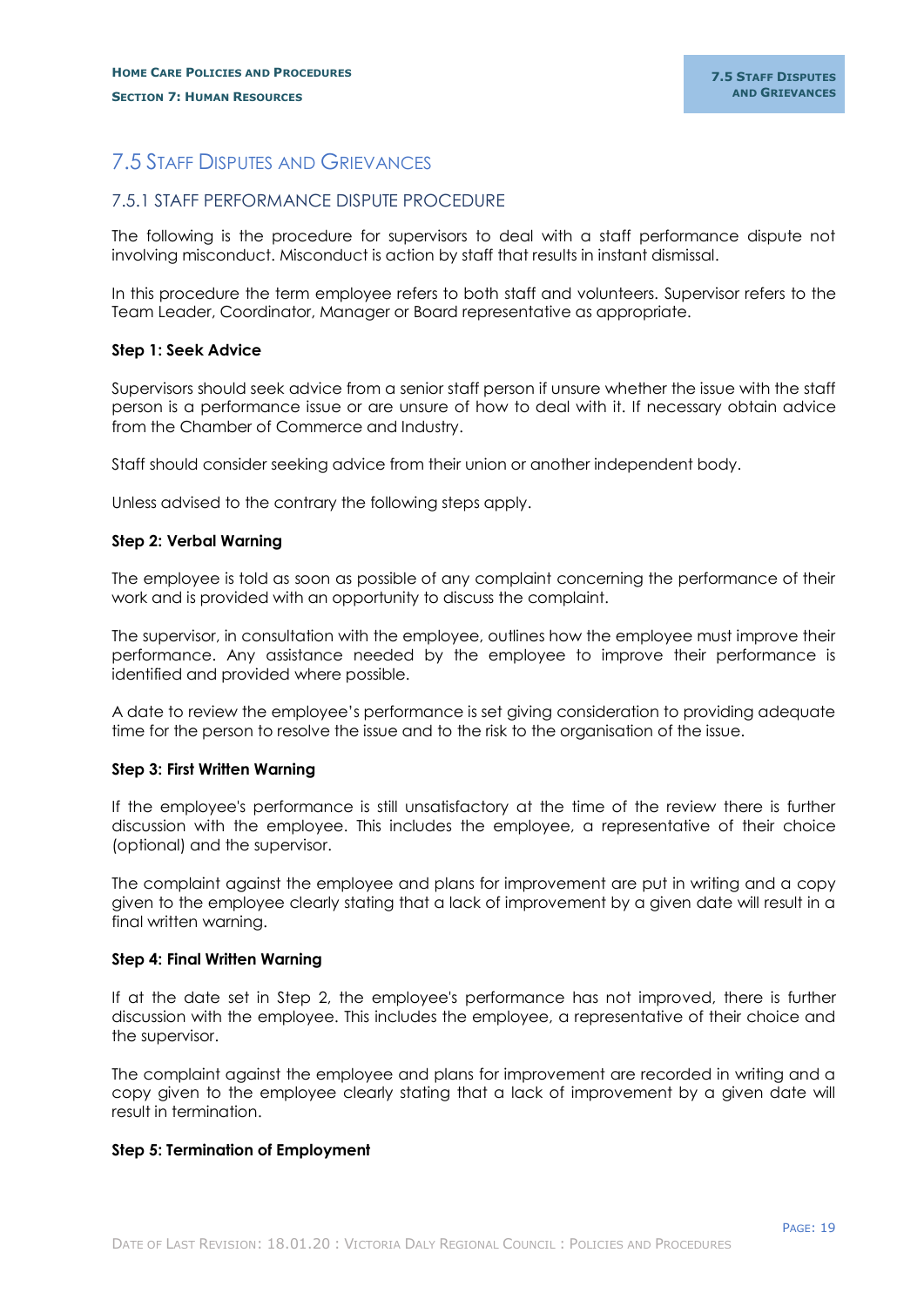# <span id="page-20-0"></span>7.5 STAFF DISPUTES AND GRIEVANCES

# <span id="page-20-1"></span>7.5.1 STAFF PERFORMANCE DISPUTE PROCEDURE

The following is the procedure for supervisors to deal with a staff performance dispute not involving misconduct. Misconduct is action by staff that results in instant dismissal.

In this procedure the term employee refers to both staff and volunteers. Supervisor refers to the Team Leader, Coordinator, Manager or Board representative as appropriate.

#### **Step 1: Seek Advice**

Supervisors should seek advice from a senior staff person if unsure whether the issue with the staff person is a performance issue or are unsure of how to deal with it. If necessary obtain advice from the Chamber of Commerce and Industry.

Staff should consider seeking advice from their union or another independent body.

Unless advised to the contrary the following steps apply.

#### **Step 2: Verbal Warning**

The employee is told as soon as possible of any complaint concerning the performance of their work and is provided with an opportunity to discuss the complaint.

The supervisor, in consultation with the employee, outlines how the employee must improve their performance. Any assistance needed by the employee to improve their performance is identified and provided where possible.

A date to review the employee's performance is set giving consideration to providing adequate time for the person to resolve the issue and to the risk to the organisation of the issue.

#### **Step 3: First Written Warning**

If the employee's performance is still unsatisfactory at the time of the review there is further discussion with the employee. This includes the employee, a representative of their choice (optional) and the supervisor.

The complaint against the employee and plans for improvement are put in writing and a copy given to the employee clearly stating that a lack of improvement by a given date will result in a final written warning.

#### **Step 4: Final Written Warning**

If at the date set in Step 2, the employee's performance has not improved, there is further discussion with the employee. This includes the employee, a representative of their choice and the supervisor.

The complaint against the employee and plans for improvement are recorded in writing and a copy given to the employee clearly stating that a lack of improvement by a given date will result in termination.

#### **Step 5: Termination of Employment**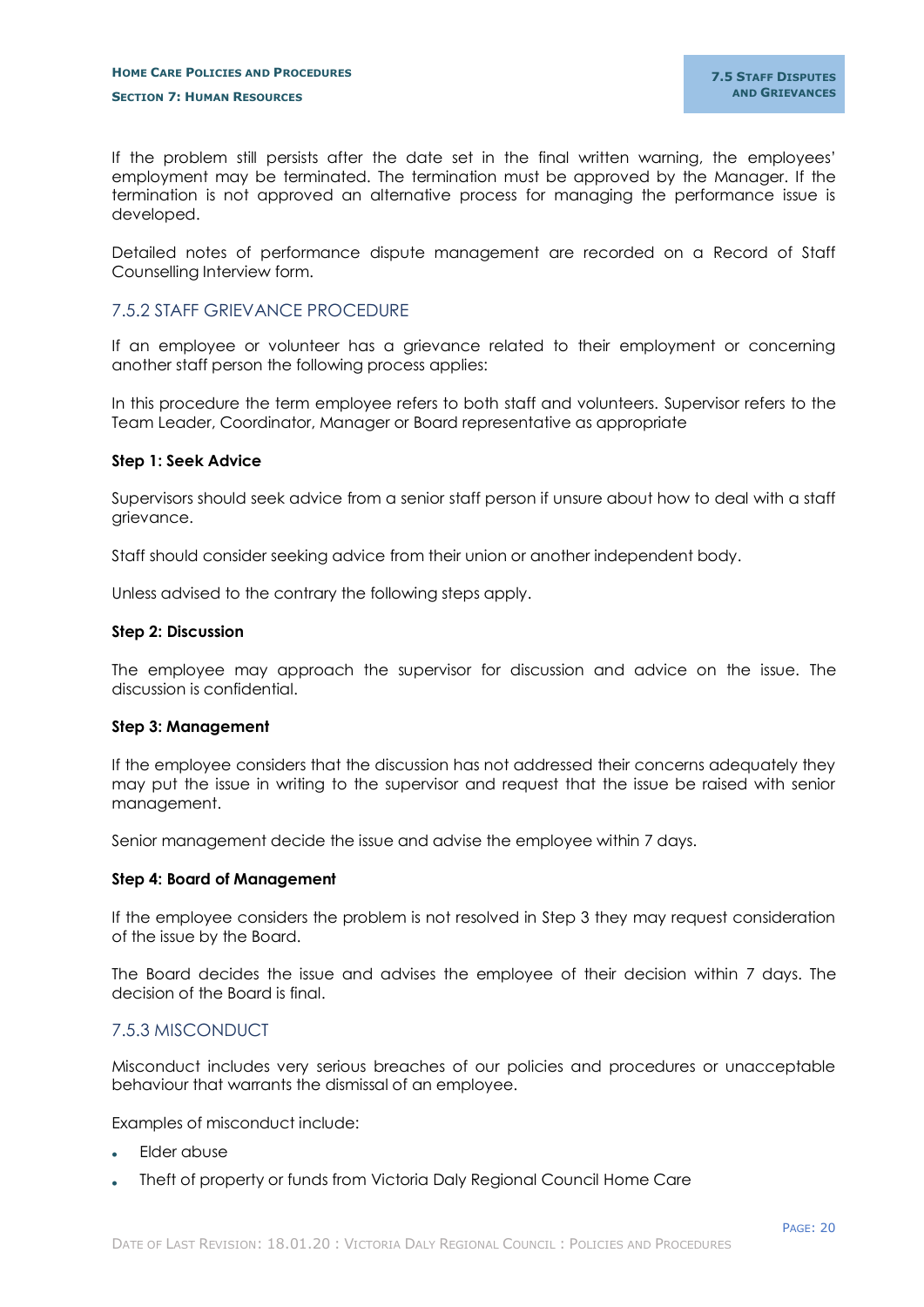If the problem still persists after the date set in the final written warning, the employees' employment may be terminated. The termination must be approved by the Manager. If the termination is not approved an alternative process for managing the performance issue is developed.

Detailed notes of performance dispute management are recorded on a Record of Staff Counselling Interview form.

# <span id="page-21-0"></span>7.5.2 STAFF GRIEVANCE PROCEDURE

If an employee or volunteer has a grievance related to their employment or concerning another staff person the following process applies:

In this procedure the term employee refers to both staff and volunteers. Supervisor refers to the Team Leader, Coordinator, Manager or Board representative as appropriate

#### **Step 1: Seek Advice**

Supervisors should seek advice from a senior staff person if unsure about how to deal with a staff grievance.

Staff should consider seeking advice from their union or another independent body.

Unless advised to the contrary the following steps apply.

#### **Step 2: Discussion**

The employee may approach the supervisor for discussion and advice on the issue. The discussion is confidential.

#### **Step 3: Management**

If the employee considers that the discussion has not addressed their concerns adequately they may put the issue in writing to the supervisor and request that the issue be raised with senior management.

Senior management decide the issue and advise the employee within 7 days.

#### **Step 4: Board of Management**

If the employee considers the problem is not resolved in Step 3 they may request consideration of the issue by the Board.

The Board decides the issue and advises the employee of their decision within 7 days. The decision of the Board is final.

# <span id="page-21-1"></span>7.5.3 MISCONDUCT

Misconduct includes very serious breaches of our policies and procedures or unacceptable behaviour that warrants the dismissal of an employee.

Examples of misconduct include:

- Elder abuse
- Theft of property or funds from Victoria Daly Regional Council Home Care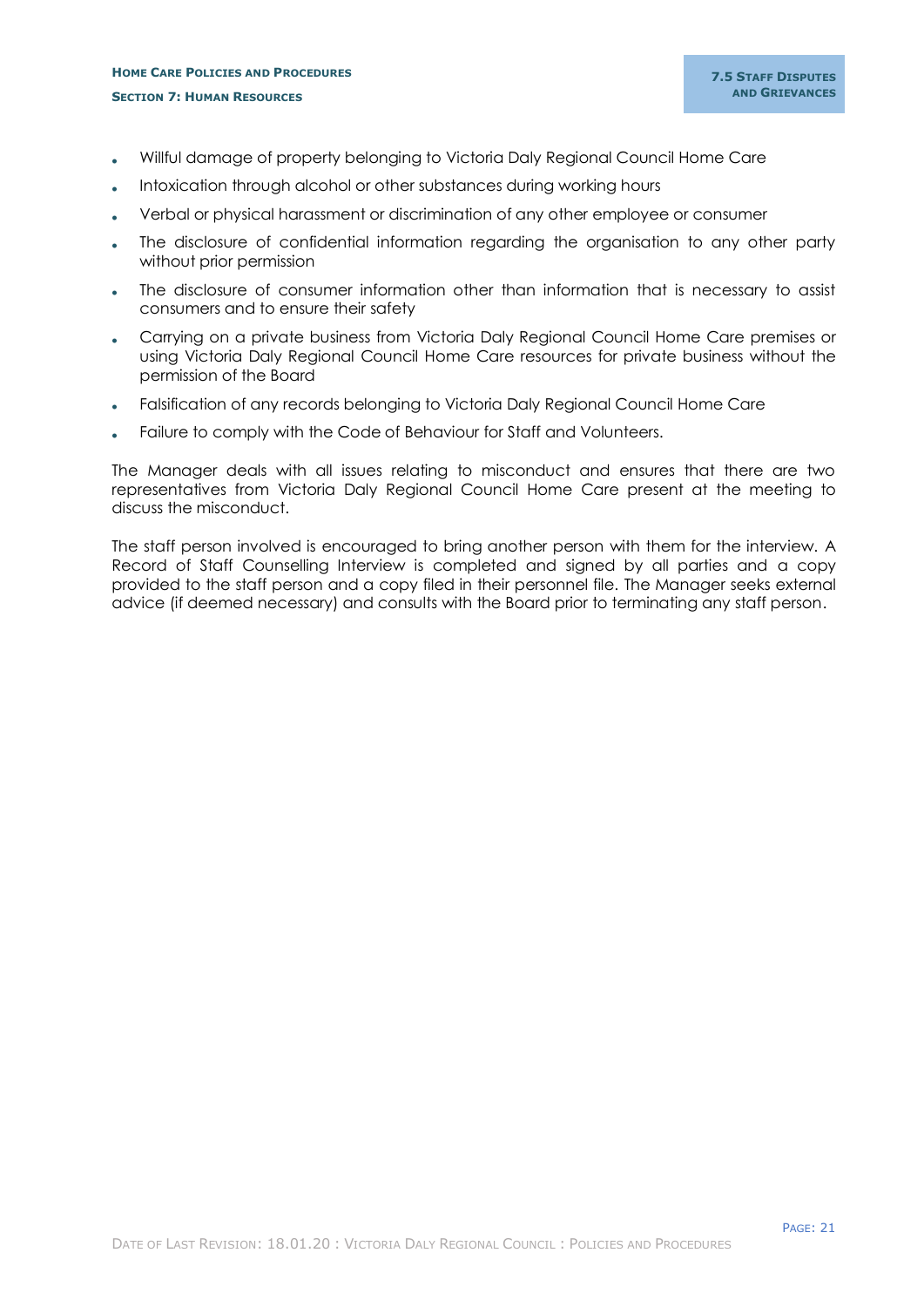- Willful damage of property belonging to Victoria Daly Regional Council Home Care
- Intoxication through alcohol or other substances during working hours
- Verbal or physical harassment or discrimination of any other employee or consumer
- The disclosure of confidential information regarding the organisation to any other party without prior permission
- The disclosure of consumer information other than information that is necessary to assist consumers and to ensure their safety
- Carrying on a private business from Victoria Daly Regional Council Home Care premises or using Victoria Daly Regional Council Home Care resources for private business without the permission of the Board
- Falsification of any records belonging to Victoria Daly Regional Council Home Care
- Failure to comply with the Code of Behaviour for Staff and Volunteers.

The Manager deals with all issues relating to misconduct and ensures that there are two representatives from Victoria Daly Regional Council Home Care present at the meeting to discuss the misconduct.

The staff person involved is encouraged to bring another person with them for the interview. A Record of Staff Counselling Interview is completed and signed by all parties and a copy provided to the staff person and a copy filed in their personnel file. The Manager seeks external advice (if deemed necessary) and consults with the Board prior to terminating any staff person.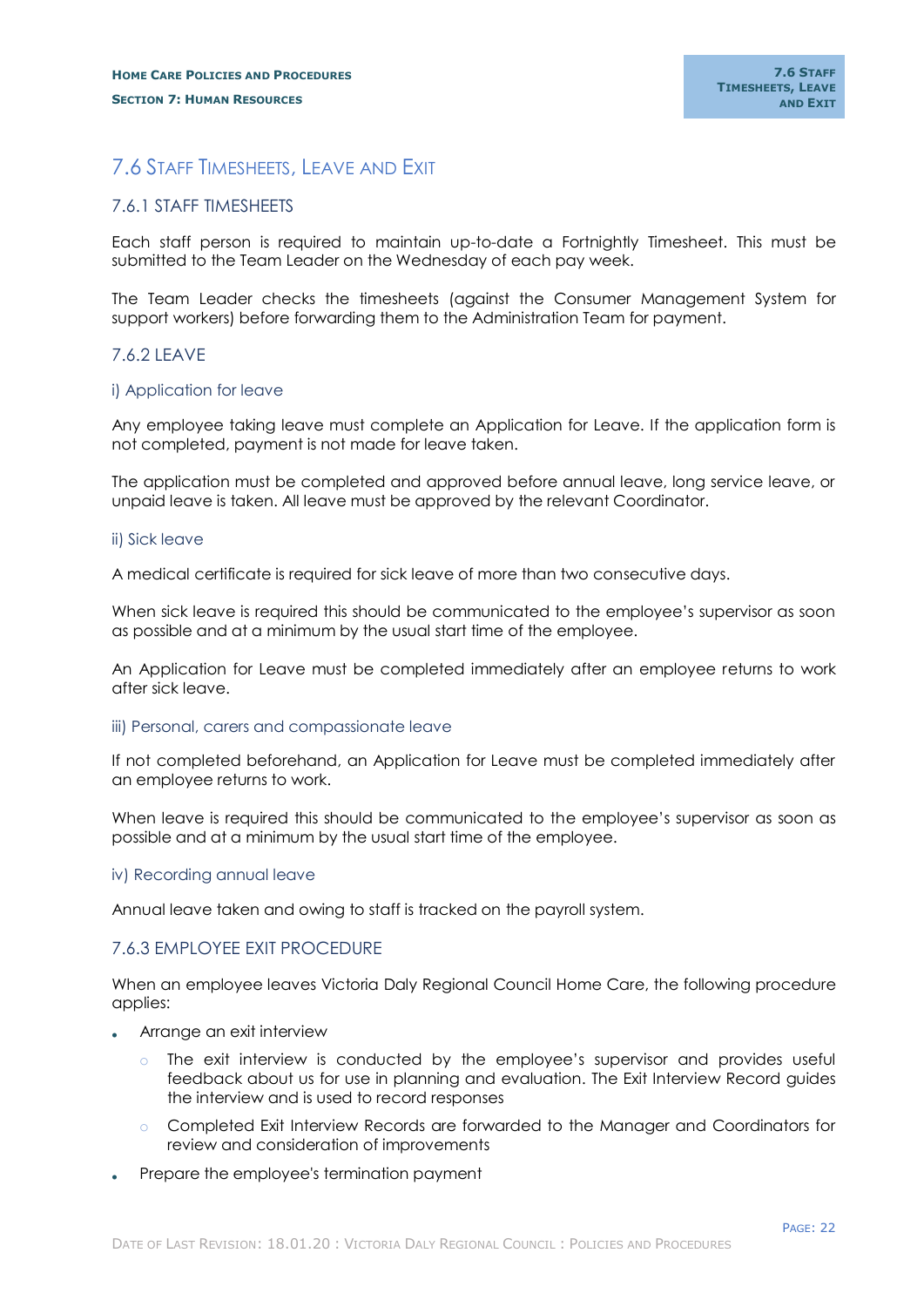# <span id="page-23-0"></span>7.6 STAFF TIMESHEETS, LEAVE AND EXIT

## <span id="page-23-1"></span>7.6.1 STAFF TIMESHEETS

Each staff person is required to maintain up-to-date a Fortnightly Timesheet. This must be submitted to the Team Leader on the Wednesday of each pay week.

The Team Leader checks the timesheets (against the Consumer Management System for support workers) before forwarding them to the Administration Team for payment.

## <span id="page-23-2"></span>7.6.2 LEAVE

#### <span id="page-23-3"></span>i) Application for leave

Any employee taking leave must complete an Application for Leave. If the application form is not completed, payment is not made for leave taken.

The application must be completed and approved before annual leave, long service leave, or unpaid leave is taken. All leave must be approved by the relevant Coordinator.

#### <span id="page-23-4"></span>ii) Sick leave

A medical certificate is required for sick leave of more than two consecutive days.

When sick leave is required this should be communicated to the employee's supervisor as soon as possible and at a minimum by the usual start time of the employee.

An Application for Leave must be completed immediately after an employee returns to work after sick leave.

#### <span id="page-23-5"></span>iii) Personal, carers and compassionate leave

If not completed beforehand, an Application for Leave must be completed immediately after an employee returns to work.

When leave is required this should be communicated to the employee's supervisor as soon as possible and at a minimum by the usual start time of the employee.

#### <span id="page-23-6"></span>iv) Recording annual leave

Annual leave taken and owing to staff is tracked on the payroll system.

# <span id="page-23-7"></span>7.6.3 EMPLOYEE EXIT PROCEDURE

When an employee leaves Victoria Daly Regional Council Home Care, the following procedure applies:

- Arrange an exit interview
	- o The exit interview is conducted by the employee's supervisor and provides useful feedback about us for use in planning and evaluation. The Exit Interview Record guides the interview and is used to record responses
	- o Completed Exit Interview Records are forwarded to the Manager and Coordinators for review and consideration of improvements
- Prepare the employee's termination payment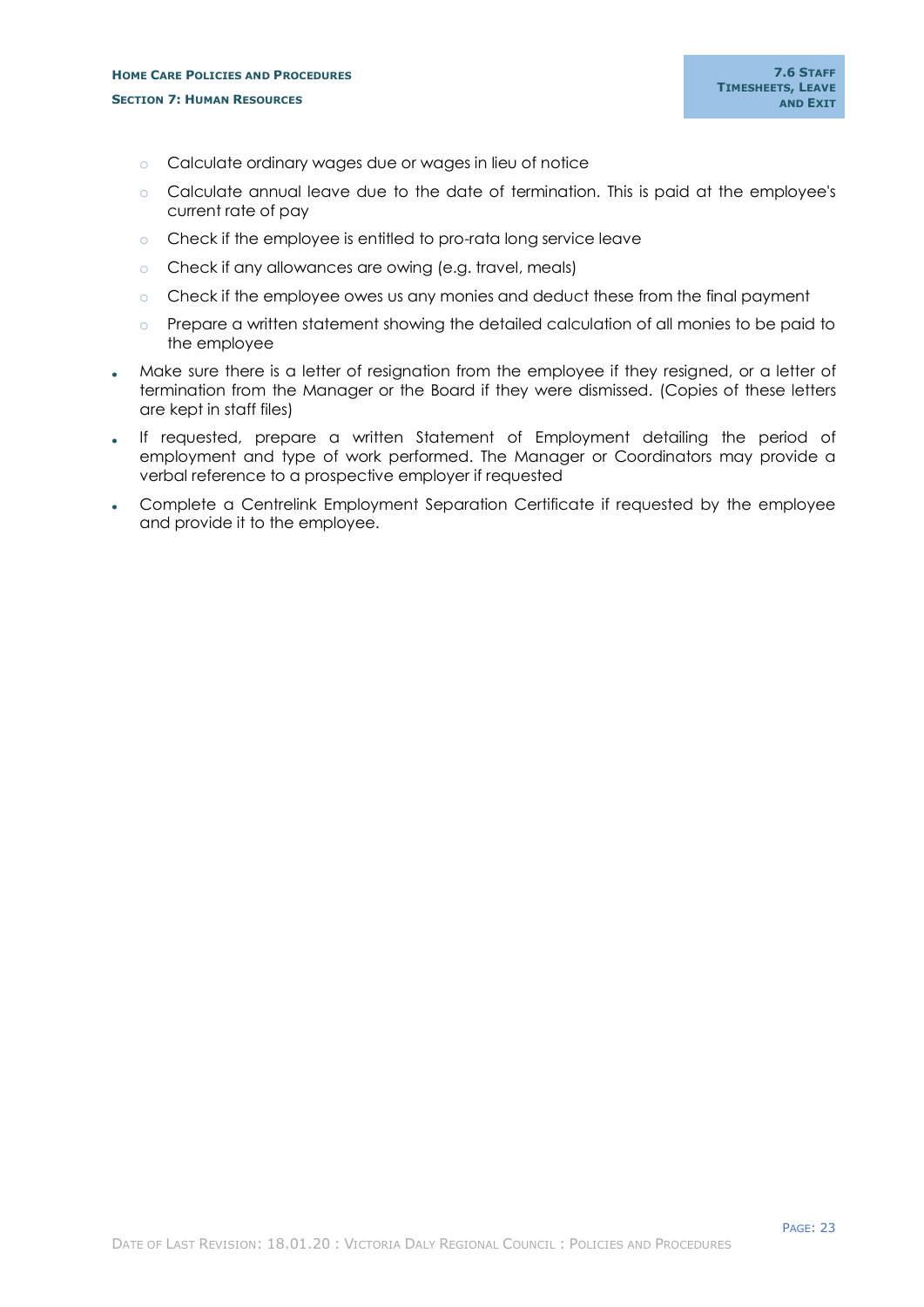- o Calculate ordinary wages due or wages in lieu of notice
- o Calculate annual leave due to the date of termination. This is paid at the employee's current rate of pay
- o Check if the employee is entitled to pro-rata long service leave
- o Check if any allowances are owing (e.g. travel, meals)
- o Check if the employee owes us any monies and deduct these from the final payment
- o Prepare a written statement showing the detailed calculation of all monies to be paid to the employee
- Make sure there is a letter of resignation from the employee if they resigned, or a letter of termination from the Manager or the Board if they were dismissed. (Copies of these letters are kept in staff files)
- If requested, prepare a written Statement of Employment detailing the period of employment and type of work performed. The Manager or Coordinators may provide a verbal reference to a prospective employer if requested
- Complete a Centrelink Employment Separation Certificate if requested by the employee and provide it to the employee.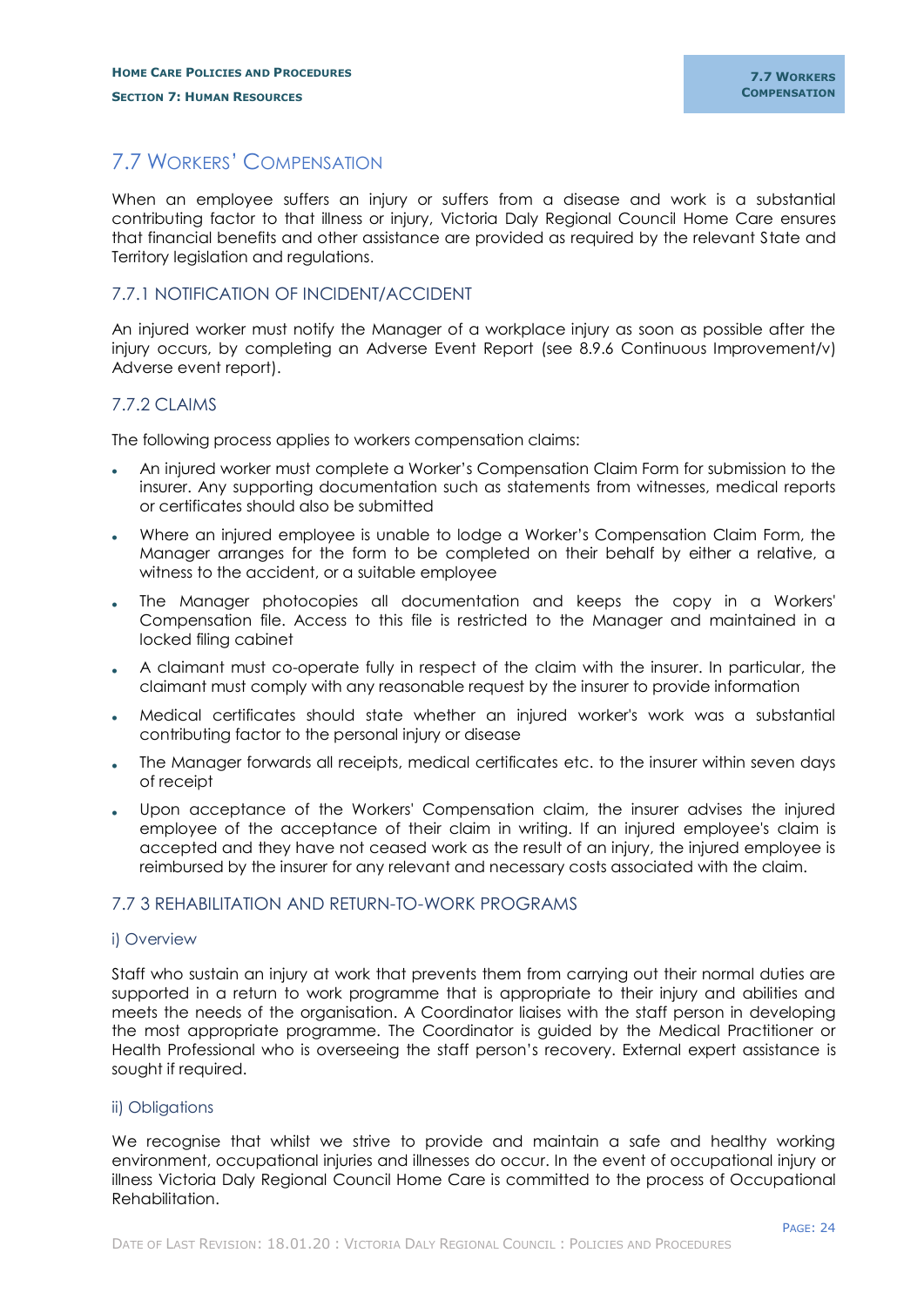# <span id="page-25-0"></span>7.7 WORKERS' COMPENSATION

When an employee suffers an injury or suffers from a disease and work is a substantial contributing factor to that illness or injury, Victoria Daly Regional Council Home Care ensures that financial benefits and other assistance are provided as required by the relevant State and Territory legislation and regulations.

# <span id="page-25-1"></span>7.7.1 NOTIFICATION OF INCIDENT/ACCIDENT

An injured worker must notify the Manager of a workplace injury as soon as possible after the injury occurs, by completing an Adverse Event Report (see 8.9.6 Continuous Improvement/v) Adverse event report).

# <span id="page-25-2"></span>7.7.2 CLAIMS

The following process applies to workers compensation claims:

- An injured worker must complete a Worker's Compensation Claim Form for submission to the insurer. Any supporting documentation such as statements from witnesses, medical reports or certificates should also be submitted
- Where an injured employee is unable to lodge a Worker's Compensation Claim Form, the Manager arranges for the form to be completed on their behalf by either a relative, a witness to the accident, or a suitable employee
- The Manager photocopies all documentation and keeps the copy in a Workers' Compensation file. Access to this file is restricted to the Manager and maintained in a locked filing cabinet
- A claimant must co-operate fully in respect of the claim with the insurer. In particular, the claimant must comply with any reasonable request by the insurer to provide information
- Medical certificates should state whether an injured worker's work was a substantial contributing factor to the personal injury or disease
- The Manager forwards all receipts, medical certificates etc. to the insurer within seven days of receipt
- Upon acceptance of the Workers' Compensation claim, the insurer advises the injured employee of the acceptance of their claim in writing. If an injured employee's claim is accepted and they have not ceased work as the result of an injury, the injured employee is reimbursed by the insurer for any relevant and necessary costs associated with the claim.

# <span id="page-25-3"></span>7.7 3 REHABILITATION AND RETURN-TO-WORK PROGRAMS

#### <span id="page-25-4"></span>i) Overview

Staff who sustain an injury at work that prevents them from carrying out their normal duties are supported in a return to work programme that is appropriate to their injury and abilities and meets the needs of the organisation. A Coordinator liaises with the staff person in developing the most appropriate programme. The Coordinator is guided by the Medical Practitioner or Health Professional who is overseeing the staff person's recovery. External expert assistance is sought if required.

#### <span id="page-25-5"></span>ii) Obligations

We recognise that whilst we strive to provide and maintain a safe and healthy working environment, occupational injuries and illnesses do occur. In the event of occupational injury or illness Victoria Daly Regional Council Home Care is committed to the process of Occupational Rehabilitation.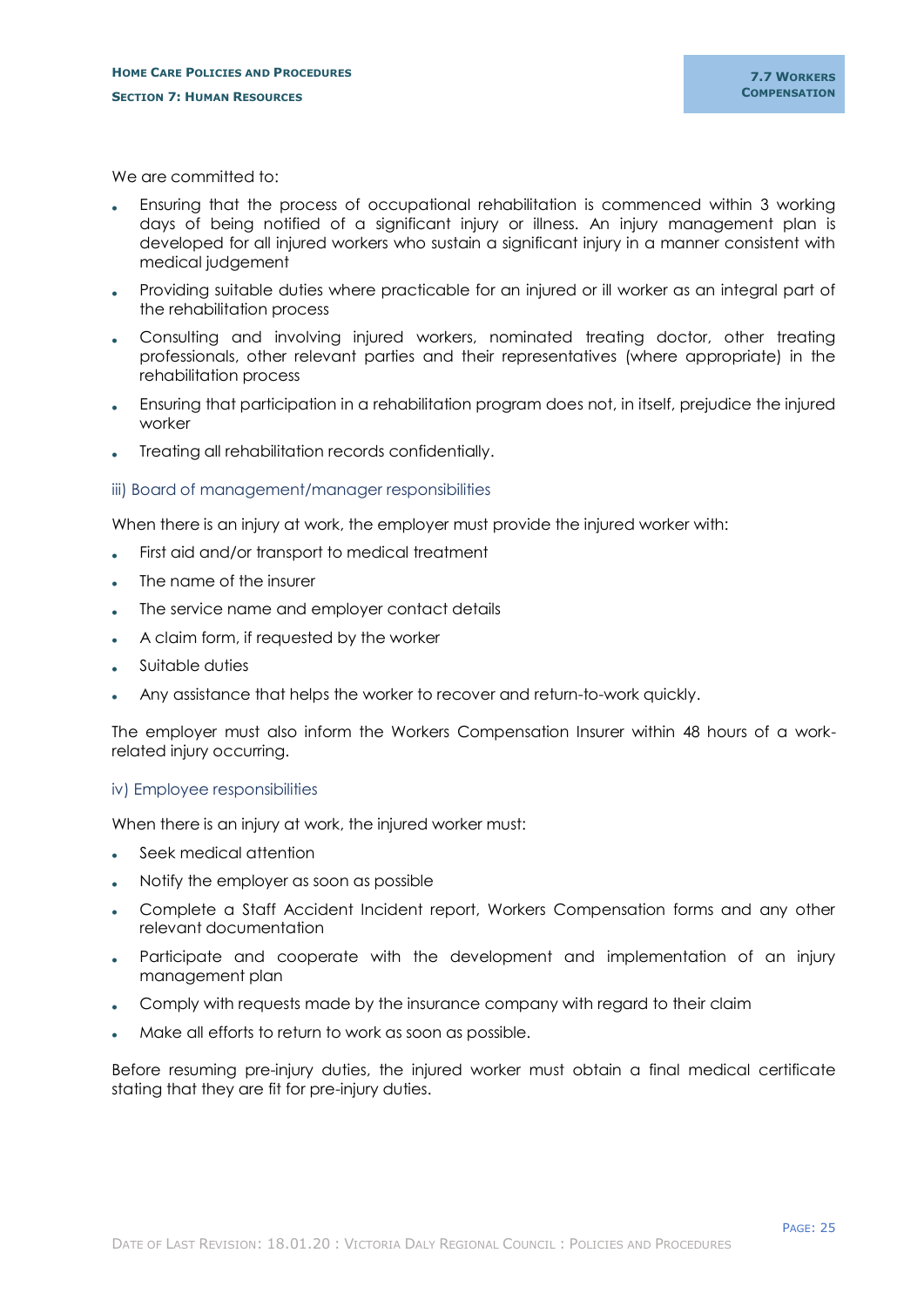We are committed to:

- Ensuring that the process of occupational rehabilitation is commenced within 3 working days of being notified of a significant injury or illness. An injury management plan is developed for all injured workers who sustain a significant injury in a manner consistent with medical judgement
- Providing suitable duties where practicable for an injured or ill worker as an integral part of the rehabilitation process
- Consulting and involving injured workers, nominated treating doctor, other treating professionals, other relevant parties and their representatives (where appropriate) in the rehabilitation process
- Ensuring that participation in a rehabilitation program does not, in itself, prejudice the injured worker
- Treating all rehabilitation records confidentially.

#### <span id="page-26-0"></span>iii) Board of management/manager responsibilities

When there is an injury at work, the employer must provide the injured worker with:

- First aid and/or transport to medical treatment
- The name of the insurer
- The service name and employer contact details
- A claim form, if requested by the worker
- Suitable duties
- Any assistance that helps the worker to recover and return-to-work quickly.

The employer must also inform the Workers Compensation Insurer within 48 hours of a workrelated injury occurring.

#### <span id="page-26-1"></span>iv) Employee responsibilities

When there is an injury at work, the injured worker must:

- Seek medical attention
- Notify the employer as soon as possible
- Complete a Staff Accident Incident report, Workers Compensation forms and any other relevant documentation
- Participate and cooperate with the development and implementation of an injury management plan
- Comply with requests made by the insurance company with regard to their claim
- Make all efforts to return to work as soon as possible.

Before resuming pre-injury duties, the injured worker must obtain a final medical certificate stating that they are fit for pre-injury duties.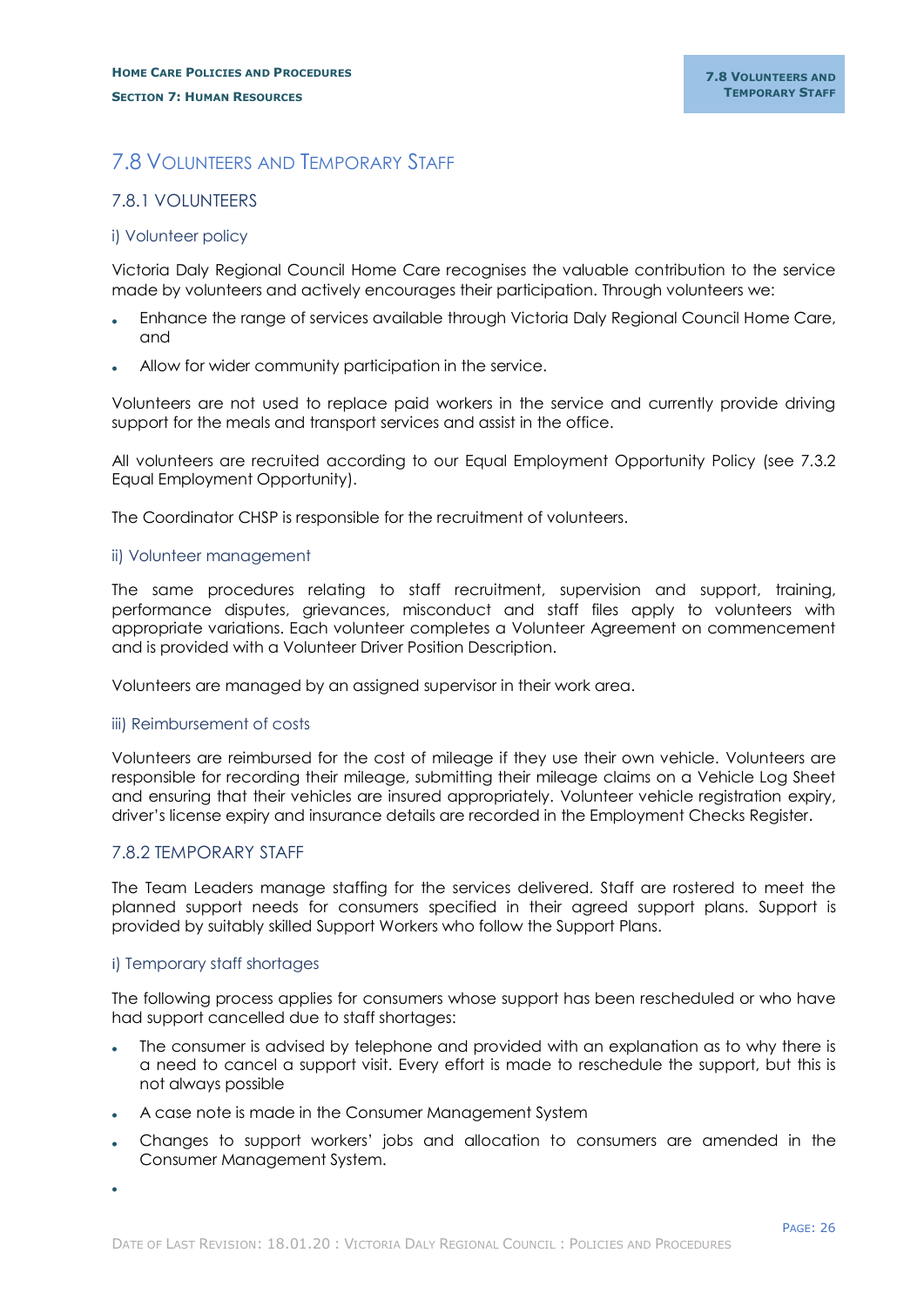# <span id="page-27-0"></span>7.8 VOLUNTEERS AND TEMPORARY STAFF

# <span id="page-27-1"></span>7.8.1 VOLUNTEERS

#### <span id="page-27-2"></span>i) Volunteer policy

Victoria Daly Regional Council Home Care recognises the valuable contribution to the service made by volunteers and actively encourages their participation. Through volunteers we:

- Enhance the range of services available through Victoria Daly Regional Council Home Care, and
- Allow for wider community participation in the service.

Volunteers are not used to replace paid workers in the service and currently provide driving support for the meals and transport services and assist in the office.

All volunteers are recruited according to our Equal Employment Opportunity Policy (see 7.3.2 Equal Employment Opportunity).

The Coordinator CHSP is responsible for the recruitment of volunteers.

#### <span id="page-27-3"></span>ii) Volunteer management

The same procedures relating to staff recruitment, supervision and support, training, performance disputes, grievances, misconduct and staff files apply to volunteers with appropriate variations. Each volunteer completes a Volunteer Agreement on commencement and is provided with a Volunteer Driver Position Description.

Volunteers are managed by an assigned supervisor in their work area.

#### <span id="page-27-4"></span>iii) Reimbursement of costs

Volunteers are reimbursed for the cost of mileage if they use their own vehicle. Volunteers are responsible for recording their mileage, submitting their mileage claims on a Vehicle Log Sheet and ensuring that their vehicles are insured appropriately. Volunteer vehicle registration expiry, driver's license expiry and insurance details are recorded in the Employment Checks Register.

# <span id="page-27-5"></span>7.8.2 TEMPORARY STAFF

The Team Leaders manage staffing for the services delivered. Staff are rostered to meet the planned support needs for consumers specified in their agreed support plans. Support is provided by suitably skilled Support Workers who follow the Support Plans.

#### <span id="page-27-6"></span>i) Temporary staff shortages

The following process applies for consumers whose support has been rescheduled or who have had support cancelled due to staff shortages:

- The consumer is advised by telephone and provided with an explanation as to why there is a need to cancel a support visit. Every effort is made to reschedule the support, but this is not always possible
- A case note is made in the Consumer Management System
- Changes to support workers' jobs and allocation to consumers are amended in the Consumer Management System.

 $\bullet$